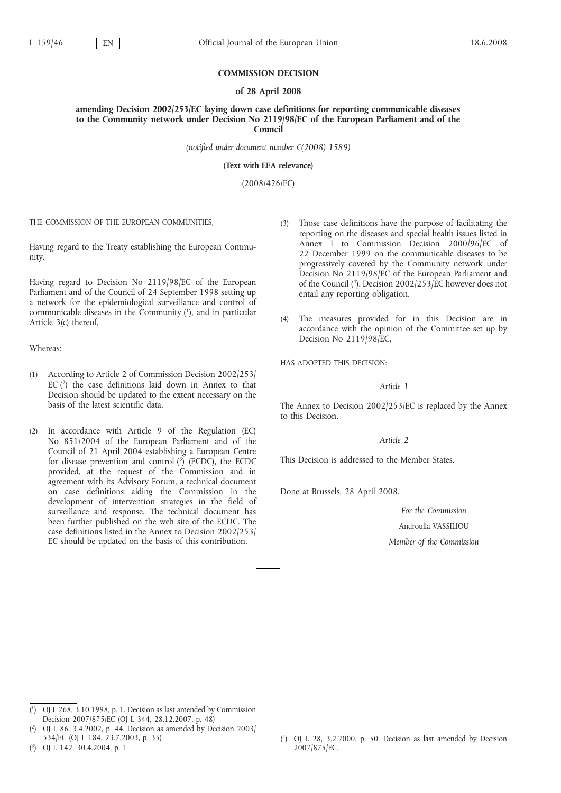#### **COMMISSION DECISION**

#### **of 28 April 2008**

**amending Decision 2002/253/EC laying down case definitions for reporting communicable diseases to the Community network under Decision No 2119/98/EC of the European Parliament and of the Council**

*(notified under document number C(2008) 1589)*

**(Text with EEA relevance)**

(2008/426/EC)

THE COMMISSION OF THE EUROPEAN COMMUNITIES,

Having regard to the Treaty establishing the European Community,

Having regard to Decision No 2119/98/EC of the European Parliament and of the Council of 24 September 1998 setting up a network for the epidemiological surveillance and control of communicable diseases in the Community  $(1)$ , and in particular Article 3(c) thereof,

Whereas:

- (1) According to Article 2 of Commission Decision 2002/253/ EC  $(2)$  the case definitions laid down in Annex to that Decision should be updated to the extent necessary on the basis of the latest scientific data.
- (2) In accordance with Article 9 of the Regulation (EC) No 851/2004 of the European Parliament and of the Council of 21 April 2004 establishing a European Centre for disease prevention and control  $(3)$  (ECDC), the ECDC provided, at the request of the Commission and in agreement with its Advisory Forum, a technical document on case definitions aiding the Commission in the development of intervention strategies in the field of surveillance and response. The technical document has been further published on the web site of the ECDC. The case definitions listed in the Annex to Decision 2002/253/ EC should be updated on the basis of this contribution.
- (3) Those case definitions have the purpose of facilitating the reporting on the diseases and special health issues listed in Annex I to Commission Decision 2000/96/EC of 22 December 1999 on the communicable diseases to be progressively covered by the Community network under Decision No 2119/98/EC of the European Parliament and of the Council (4). Decision 2002/253/EC however does not entail any reporting obligation.
- (4) The measures provided for in this Decision are in accordance with the opinion of the Committee set up by Decision No 2119/98/EC,

HAS ADOPTED THIS DECISION:

## *Article 1*

The Annex to Decision 2002/253/EC is replaced by the Annex to this Decision.

*Article 2*

This Decision is addressed to the Member States.

Done at Brussels, 28 April 2008.

*For the Commission* Androulla VASSILIOU *Member of the Commission*

( 3) OJ L 142, 30.4.2004, p. 1

<sup>(</sup> 1) OJ L 268, 3.10.1998, p. 1. Decision as last amended by Commission Decision 2007/875/EC (OJ L 344, 28.12.2007, p. 48)

 $(2)$ 2) OJ L 86, 3.4.2002, p. 44. Decision as amended by Decision 2003/ 534/EC (OJ L 184, 23.7.2003, p. 35)

 $(4)$ 4) OJ L 28, 3.2.2000, p. 50. Decision as last amended by Decision 2007/875/EC.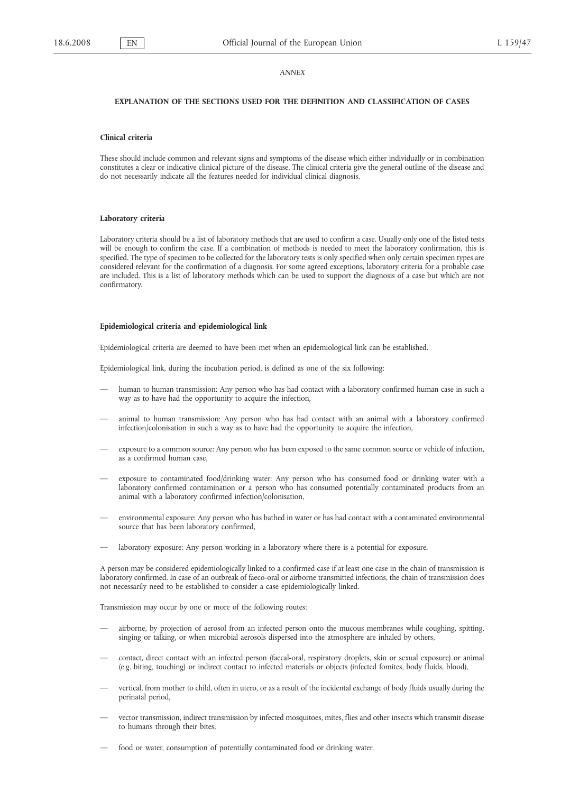#### *ANNEX*

## **EXPLANATION OF THE SECTIONS USED FOR THE DEFINITION AND CLASSIFICATION OF CASES**

#### **Clinical criteria**

These should include common and relevant signs and symptoms of the disease which either individually or in combination constitutes a clear or indicative clinical picture of the disease. The clinical criteria give the general outline of the disease and do not necessarily indicate all the features needed for individual clinical diagnosis.

#### **Laboratory criteria**

Laboratory criteria should be a list of laboratory methods that are used to confirm a case. Usually only one of the listed tests will be enough to confirm the case. If a combination of methods is needed to meet the laboratory confirmation, this is specified. The type of specimen to be collected for the laboratory tests is only specified when only certain specimen types are considered relevant for the confirmation of a diagnosis. For some agreed exceptions, laboratory criteria for a probable case are included. This is a list of laboratory methods which can be used to support the diagnosis of a case but which are not confirmatory.

#### **Epidemiological criteria and epidemiological link**

Epidemiological criteria are deemed to have been met when an epidemiological link can be established.

Epidemiological link, during the incubation period, is defined as one of the six following:

- human to human transmission: Any person who has had contact with a laboratory confirmed human case in such a way as to have had the opportunity to acquire the infection,
- animal to human transmission: Any person who has had contact with an animal with a laboratory confirmed infection/colonisation in such a way as to have had the opportunity to acquire the infection,
- exposure to a common source: Any person who has been exposed to the same common source or vehicle of infection, as a confirmed human case,
- exposure to contaminated food/drinking water: Any person who has consumed food or drinking water with a laboratory confirmed contamination or a person who has consumed potentially contaminated products from an animal with a laboratory confirmed infection/colonisation,
- environmental exposure: Any person who has bathed in water or has had contact with a contaminated environmental source that has been laboratory confirmed,
- laboratory exposure: Any person working in a laboratory where there is a potential for exposure.

A person may be considered epidemiologically linked to a confirmed case if at least one case in the chain of transmission is laboratory confirmed. In case of an outbreak of faeco-oral or airborne transmitted infections, the chain of transmission does not necessarily need to be established to consider a case epidemiologically linked.

Transmission may occur by one or more of the following routes:

- airborne, by projection of aerosol from an infected person onto the mucous membranes while coughing, spitting, singing or talking, or when microbial aerosols dispersed into the atmosphere are inhaled by others,
- contact, direct contact with an infected person (faecal-oral, respiratory droplets, skin or sexual exposure) or animal (e.g. biting, touching) or indirect contact to infected materials or objects (infected fomites, body fluids, blood),
- vertical, from mother to child, often in utero, or as a result of the incidental exchange of body fluids usually during the perinatal period,
- vector transmission, indirect transmission by infected mosquitoes, mites, flies and other insects which transmit disease to humans through their bites,
- food or water, consumption of potentially contaminated food or drinking water.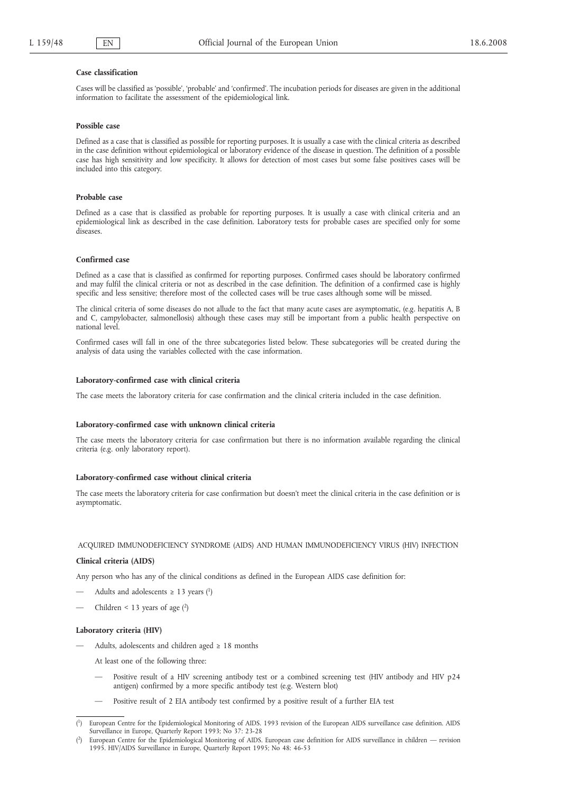#### **Case classification**

Cases will be classified as 'possible', 'probable' and 'confirmed'. The incubation periods for diseases are given in the additional information to facilitate the assessment of the epidemiological link.

#### **Possible case**

Defined as a case that is classified as possible for reporting purposes. It is usually a case with the clinical criteria as described in the case definition without epidemiological or laboratory evidence of the disease in question. The definition of a possible case has high sensitivity and low specificity. It allows for detection of most cases but some false positives cases will be included into this category.

#### **Probable case**

Defined as a case that is classified as probable for reporting purposes. It is usually a case with clinical criteria and an epidemiological link as described in the case definition. Laboratory tests for probable cases are specified only for some diseases.

#### **Confirmed case**

Defined as a case that is classified as confirmed for reporting purposes. Confirmed cases should be laboratory confirmed and may fulfil the clinical criteria or not as described in the case definition. The definition of a confirmed case is highly specific and less sensitive; therefore most of the collected cases will be true cases although some will be missed.

The clinical criteria of some diseases do not allude to the fact that many acute cases are asymptomatic, (e.g. hepatitis A, B and C, campylobacter, salmonellosis) although these cases may still be important from a public health perspective on national level.

Confirmed cases will fall in one of the three subcategories listed below. These subcategories will be created during the analysis of data using the variables collected with the case information.

#### **Laboratory-confirmed case with clinical criteria**

The case meets the laboratory criteria for case confirmation and the clinical criteria included in the case definition.

#### **Laboratory-confirmed case with unknown clinical criteria**

The case meets the laboratory criteria for case confirmation but there is no information available regarding the clinical criteria (e.g. only laboratory report).

## **Laboratory-confirmed case without clinical criteria**

The case meets the laboratory criteria for case confirmation but doesn't meet the clinical criteria in the case definition or is asymptomatic.

# ACQUIRED IMMUNODEFICIENCY SYNDROME (AIDS) AND HUMAN IMMUNODEFICIENCY VIRUS (HIV) INFECTION

#### **Clinical criteria (AIDS)**

Any person who has any of the clinical conditions as defined in the European AIDS case definition for:

- Adults and adolescents  $\geq$  13 years (<sup>1</sup>)
- Children  $\leq$  13 years of age (2)

#### **Laboratory criteria (HIV)**

Adults, adolescents and children aged  $\geq 18$  months

At least one of the following three:

- Positive result of a HIV screening antibody test or a combined screening test (HIV antibody and HIV p24 antigen) confirmed by a more specific antibody test (e.g. Western blot)
- Positive result of 2 EIA antibody test confirmed by a positive result of a further EIA test

<sup>(</sup> 1) European Centre for the Epidemiological Monitoring of AIDS. 1993 revision of the European AIDS surveillance case definition. AIDS Surveillance in Europe, Quarterly Report 1993; No 37: 23-28

<sup>(</sup> 2) European Centre for the Epidemiological Monitoring of AIDS. European case definition for AIDS surveillance in children — revision 1995. HIV/AIDS Surveillance in Europe, Quarterly Report 1995; No 48: 46-53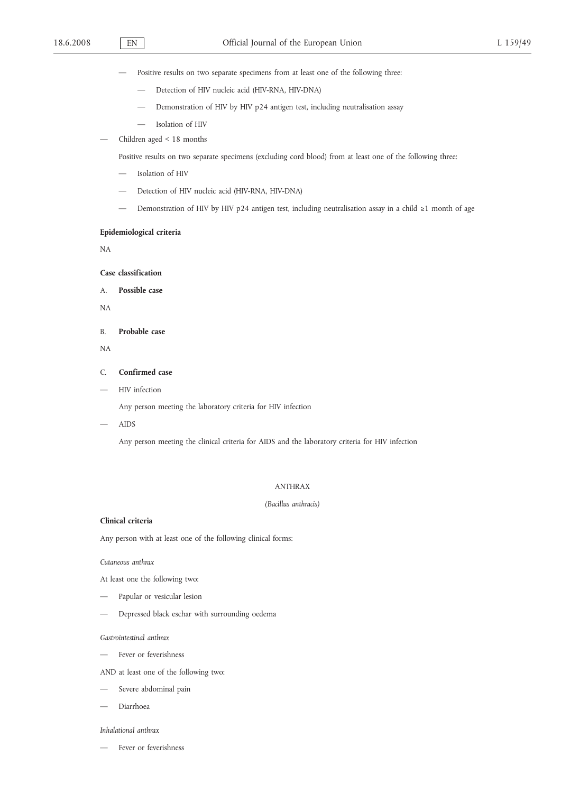- Positive results on two separate specimens from at least one of the following three:
	- Detection of HIV nucleic acid (HIV-RNA, HIV-DNA)
	- Demonstration of HIV by HIV p24 antigen test, including neutralisation assay
	- Isolation of HIV
- Children aged < 18 months

Positive results on two separate specimens (excluding cord blood) from at least one of the following three:

- Isolation of HIV
- Detection of HIV nucleic acid (HIV-RNA, HIV-DNA)
- Demonstration of HIV by HIV p24 antigen test, including neutralisation assay in a child ≥1 month of age

### **Epidemiological criteria**

NA

**Case classification**

A. **Possible case**

NA

B. **Probable case**

NA

### C. **Confirmed case**

— HIV infection

Any person meeting the laboratory criteria for HIV infection

— AIDS

Any person meeting the clinical criteria for AIDS and the laboratory criteria for HIV infection

### ANTHRAX

### *(Bacillus anthracis)*

# **Clinical criteria**

Any person with at least one of the following clinical forms:

*Cutaneous anthrax*

At least one the following two:

- Papular or vesicular lesion
- Depressed black eschar with surrounding oedema

*Gastrointestinal anthrax*

- Fever or feverishness
- AND at least one of the following two:
- Severe abdominal pain
- Diarrhoea

## *Inhalational anthrax*

Fever or feverishness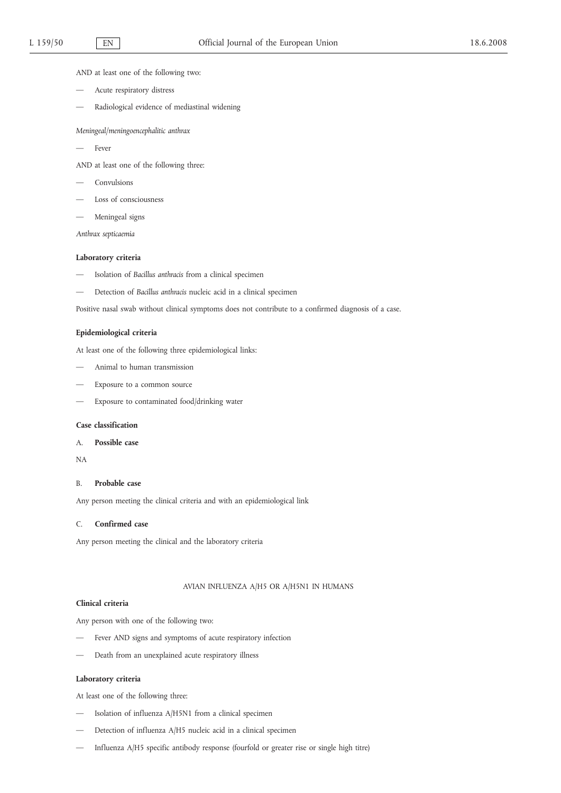AND at least one of the following two:

- Acute respiratory distress
- Radiological evidence of mediastinal widening

*Meningeal/meningoencephalitic anthrax*

Fever

AND at least one of the following three:

- Convulsions
- Loss of consciousness
- Meningeal signs

*Anthrax septicaemia*

#### **Laboratory criteria**

- Isolation of *Bacillus anthracis* from a clinical specimen
- Detection of *Bacillus anthracis* nucleic acid in a clinical specimen

Positive nasal swab without clinical symptoms does not contribute to a confirmed diagnosis of a case.

### **Epidemiological criteria**

At least one of the following three epidemiological links:

- Animal to human transmission
- Exposure to a common source
- Exposure to contaminated food/drinking water

#### **Case classification**

# A. **Possible case**

NA

#### B. **Probable case**

Any person meeting the clinical criteria and with an epidemiological link

## C. **Confirmed case**

Any person meeting the clinical and the laboratory criteria

## AVIAN INFLUENZA A/H5 OR A/H5N1 IN HUMANS

## **Clinical criteria**

Any person with one of the following two:

- Fever AND signs and symptoms of acute respiratory infection
- Death from an unexplained acute respiratory illness

#### **Laboratory criteria**

At least one of the following three:

- Isolation of influenza A/H5N1 from a clinical specimen
- Detection of influenza A/H5 nucleic acid in a clinical specimen
- Influenza A/H5 specific antibody response (fourfold or greater rise or single high titre)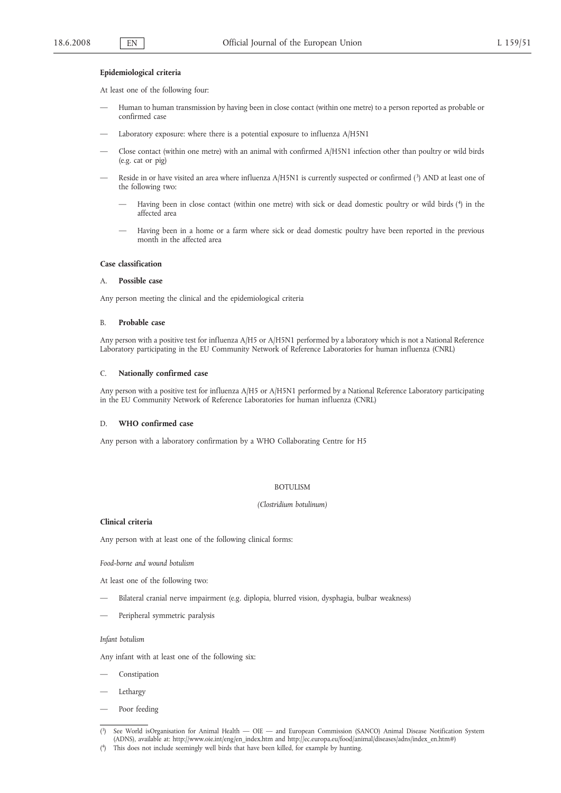#### **Epidemiological criteria**

At least one of the following four:

- Human to human transmission by having been in close contact (within one metre) to a person reported as probable or confirmed case
- Laboratory exposure: where there is a potential exposure to influenza A/H5N1
- Close contact (within one metre) with an animal with confirmed A/H5N1 infection other than poultry or wild birds (e.g. cat or pig)
- Reside in or have visited an area where influenza A/H5N1 is currently suspected or confirmed (3) AND at least one of the following two:
	- Having been in close contact (within one metre) with sick or dead domestic poultry or wild birds (4) in the affected area
	- Having been in a home or a farm where sick or dead domestic poultry have been reported in the previous month in the affected area

#### **Case classification**

### A. **Possible case**

Any person meeting the clinical and the epidemiological criteria

#### B. **Probable case**

Any person with a positive test for influenza A/H5 or A/H5N1 performed by a laboratory which is not a National Reference Laboratory participating in the EU Community Network of Reference Laboratories for human influenza (CNRL)

#### C. **Nationally confirmed case**

Any person with a positive test for influenza A/H5 or A/H5N1 performed by a National Reference Laboratory participating in the EU Community Network of Reference Laboratories for human influenza (CNRL)

### D. **WHO confirmed case**

Any person with a laboratory confirmation by a WHO Collaborating Centre for H5

### BOTULISM

#### *(Clostridium botulinum)*

## **Clinical criteria**

Any person with at least one of the following clinical forms:

*Food-borne and wound botulism*

At least one of the following two:

- Bilateral cranial nerve impairment (e.g. diplopia, blurred vision, dysphagia, bulbar weakness)
- Peripheral symmetric paralysis

#### *Infant botulism*

Any infant with at least one of the following six:

- Constipation
- **Lethargy**
- Poor feeding
- $(3)$ 3) See World isOrganisation for Animal Health — OIE — and European Commission (SANCO) Animal Disease Notification System (ADNS), available at: http://www.oie.int/eng/en\_index.htm and http://ec.europa.eu/food/animal/diseases/adns/index\_en.htm#)
- ( 4) This does not include seemingly well birds that have been killed, for example by hunting.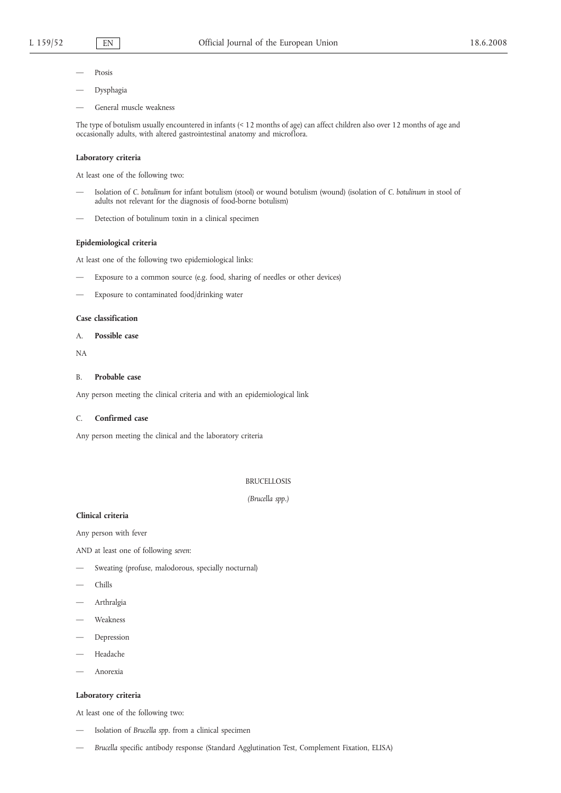- Ptosis
- Dysphagia
- General muscle weakness

The type of botulism usually encountered in infants (< 12 months of age) can affect children also over 12 months of age and occasionally adults, with altered gastrointestinal anatomy and microflora.

### **Laboratory criteria**

At least one of the following two:

- Isolation of *C. botulinum* for infant botulism (stool) or wound botulism (wound) (isolation of *C. botulinum* in stool of adults not relevant for the diagnosis of food-borne botulism)
- Detection of botulinum toxin in a clinical specimen

## **Epidemiological criteria**

At least one of the following two epidemiological links:

- Exposure to a common source (e.g. food, sharing of needles or other devices)
- Exposure to contaminated food/drinking water

## **Case classification**

A. **Possible case**

NA

#### B. **Probable case**

Any person meeting the clinical criteria and with an epidemiological link

### C. **Confirmed case**

Any person meeting the clinical and the laboratory criteria

## BRUCELLOSIS

*(Brucella spp.)*

### **Clinical criteria**

Any person with fever

AND at least one of following *seven*:

- Sweating (profuse, malodorous, specially nocturnal)
- Chills
- Arthralgia
- Weakness
- Depression
- Headache
- Anorexia

### **Laboratory criteria**

At least one of the following two:

- Isolation of *Brucella spp.* from a clinical specimen
- *Brucella* specific antibody response (Standard Agglutination Test, Complement Fixation, ELISA)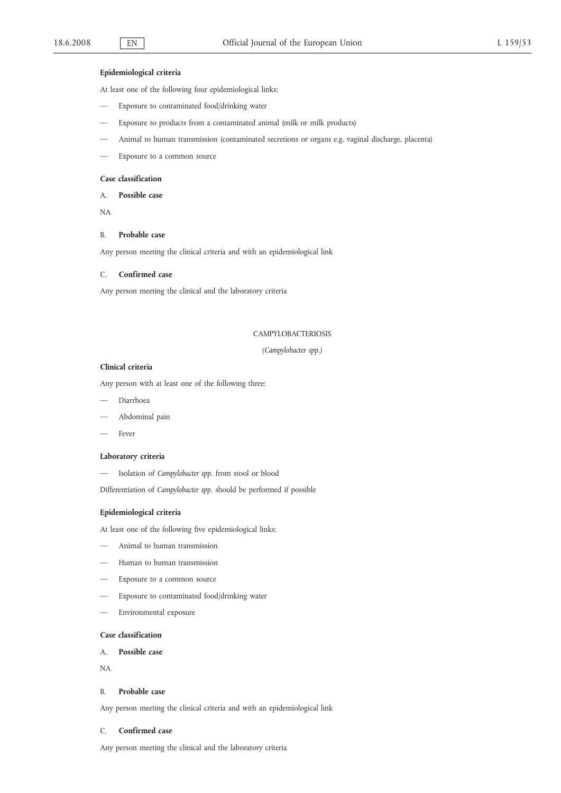# **Epidemiological criteria**

At least one of the following four epidemiological links:

- Exposure to contaminated food/drinking water
- Exposure to products from a contaminated animal (milk or milk products)
- Animal to human transmission (contaminated secretions or organs e.g. vaginal discharge, placenta)
- Exposure to a common source

### **Case classification**

A. **Possible case**

NA

### B. **Probable case**

Any person meeting the clinical criteria and with an epidemiological link

#### C. **Confirmed case**

Any person meeting the clinical and the laboratory criteria

### CAMPYLOBACTERIOSIS

*(Campylobacter spp.)*

## **Clinical criteria**

Any person with at least one of the following three:

- Diarrhoea
- Abdominal pain
- Fever

#### **Laboratory criteria**

— Isolation of *Campylobacter spp.* from stool or blood

Differentiation of *Campylobacter spp.* should be performed if possible

### **Epidemiological criteria**

At least one of the following five epidemiological links:

- Animal to human transmission
- Human to human transmission
- Exposure to a common source
- Exposure to contaminated food/drinking water
- Environmental exposure

# **Case classification**

# A. **Possible case**

NA

#### B. **Probable case**

Any person meeting the clinical criteria and with an epidemiological link

## C. **Confirmed case**

Any person meeting the clinical and the laboratory criteria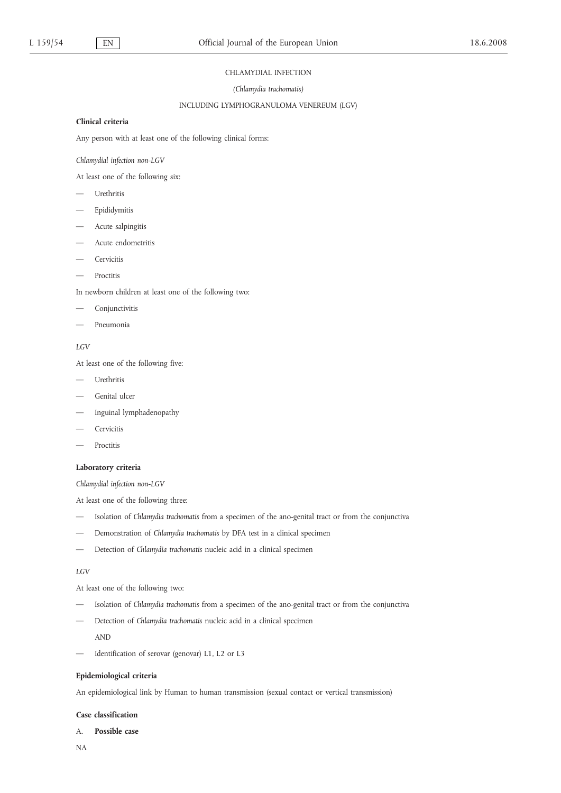#### CHLAMYDIAL INFECTION

### *(Chlamydia trachomatis)*

### INCLUDING LYMPHOGRANULOMA VENEREUM (LGV)

## **Clinical criteria**

Any person with at least one of the following clinical forms:

*Chlamydial infection non-LGV*

At least one of the following six:

- Urethritis
- Epididymitis
- Acute salpingitis
- Acute endometritis
- Cervicitis
- **Proctitis**

In newborn children at least one of the following two:

- Conjunctivitis
- Pneumonia

# *LGV*

At least one of the following five:

- Urethritis
- Genital ulcer
- Inguinal lymphadenopathy
- Cervicitis
- Proctitis

## **Laboratory criteria**

*Chlamydial infection non-LGV*

At least one of the following three:

- Isolation of *Chlamydia trachomatis* from a specimen of the ano-genital tract or from the conjunctiva
- Demonstration of *Chlamydia trachomatis* by DFA test in a clinical specimen
- Detection of *Chlamydia trachomatis* nucleic acid in a clinical specimen

## *LGV*

At least one of the following two:

- Isolation of *Chlamydia trachomatis* from a specimen of the ano-genital tract or from the conjunctiva
- Detection of *Chlamydia trachomatis* nucleic acid in a clinical specimen

AND

— Identification of serovar (genovar) L1, L2 or L3

## **Epidemiological criteria**

An epidemiological link by Human to human transmission (sexual contact or vertical transmission)

## **Case classification**

## A. **Possible case**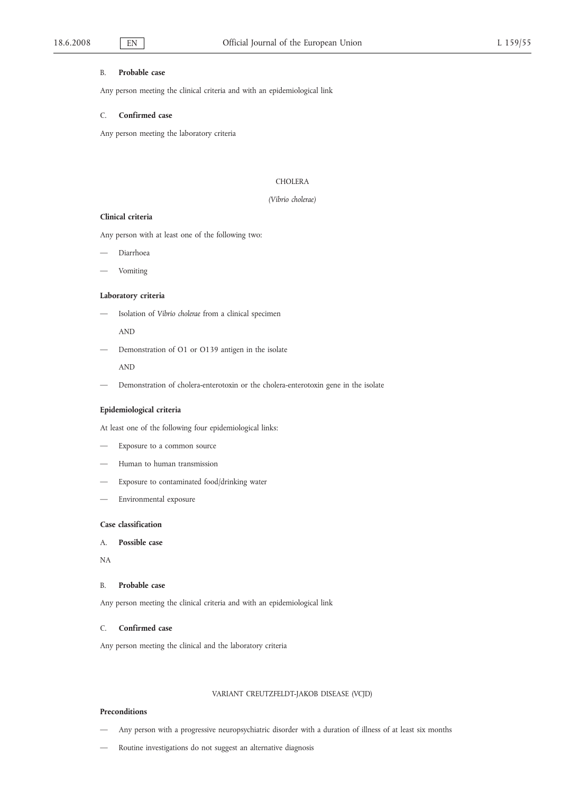#### B. **Probable case**

Any person meeting the clinical criteria and with an epidemiological link

### C. **Confirmed case**

Any person meeting the laboratory criteria

## **CHOLERA**

## *(Vibrio cholerae)*

#### **Clinical criteria**

Any person with at least one of the following two:

- Diarrhoea
- Vomiting

### **Laboratory criteria**

— Isolation of *Vibrio cholerae* from a clinical specimen

AND

— Demonstration of O1 or O139 antigen in the isolate

AND

— Demonstration of cholera-enterotoxin or the cholera-enterotoxin gene in the isolate

## **Epidemiological criteria**

At least one of the following four epidemiological links:

- Exposure to a common source
- Human to human transmission
- Exposure to contaminated food/drinking water
- Environmental exposure

# **Case classification**

- A. **Possible case**
- NA

## B. **Probable case**

Any person meeting the clinical criteria and with an epidemiological link

### C. **Confirmed case**

Any person meeting the clinical and the laboratory criteria

## VARIANT CREUTZFELDT-JAKOB DISEASE (VCJD)

#### **Preconditions**

- Any person with a progressive neuropsychiatric disorder with a duration of illness of at least six months
- Routine investigations do not suggest an alternative diagnosis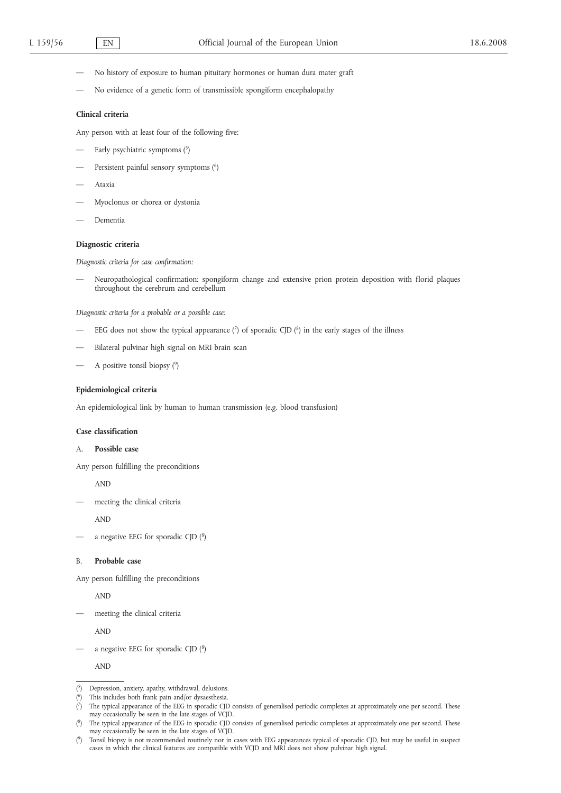- No history of exposure to human pituitary hormones or human dura mater graft
- No evidence of a genetic form of transmissible spongiform encephalopathy

### **Clinical criteria**

Any person with at least four of the following five:

- Early psychiatric symptoms  $(5)$
- Persistent painful sensory symptoms (6)
- Ataxia
- Myoclonus or chorea or dystonia
- Dementia

## **Diagnostic criteria**

*Diagnostic criteria for case confirmation:*

— Neuropathological confirmation: spongiform change and extensive prion protein deposition with florid plaques throughout the cerebrum and cerebellum

*Diagnostic criteria for a probable or a possible case:*

- EEG does not show the typical appearance  $\binom{7}{1}$  of sporadic CJD  $\binom{8}{1}$  in the early stages of the illness
- Bilateral pulvinar high signal on MRI brain scan
- A positive tonsil biopsy  $(9)$

## **Epidemiological criteria**

An epidemiological link by human to human transmission (e.g. blood transfusion)

### **Case classification**

### A. **Possible case**

Any person fulfilling the preconditions

AND

— meeting the clinical criteria

AND

a negative EEG for sporadic CJD  $(^{8})$ 

## B. **Probable case**

Any person fulfilling the preconditions

AND

meeting the clinical criteria

AND

a negative EEG for sporadic CJD  $(^{8})$ 

AND

 $(5)$ Depression, anxiety, apathy, withdrawal, delusions.

<sup>(</sup> This includes both frank pain and/or dysaesthesia.

 $(7)$ 7) The typical appearance of the EEG in sporadic CJD consists of generalised periodic complexes at approximately one per second. These may occasionally be seen in the late stages of VCJD.

 $<sup>8</sup>$ </sup> The typical appearance of the EEG in sporadic CJD consists of generalised periodic complexes at approximately one per second. These may occasionally be seen in the late stages of VCJD.

 $(9)$ 9) Tonsil biopsy is not recommended routinely nor in cases with EEG appearances typical of sporadic CJD, but may be useful in suspect cases in which the clinical features are compatible with VCJD and MRI does not show pulvinar high signal.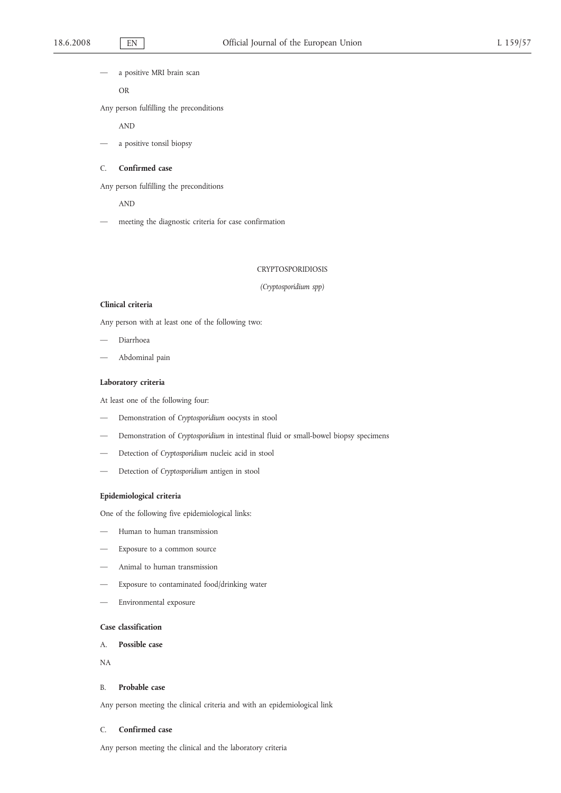a positive MRI brain scan

OR

Any person fulfilling the preconditions

AND

a positive tonsil biopsy

### C. **Confirmed case**

Any person fulfilling the preconditions

AND

— meeting the diagnostic criteria for case confirmation

### CRYPTOSPORIDIOSIS

### *(Cryptosporidium spp)*

## **Clinical criteria**

Any person with at least one of the following two:

- Diarrhoea
- Abdominal pain

## **Laboratory criteria**

At least one of the following four:

- Demonstration of *Cryptosporidium* oocysts in stool
- Demonstration of *Cryptosporidium* in intestinal fluid or small-bowel biopsy specimens
- Detection of *Cryptosporidium* nucleic acid in stool
- Detection of *Cryptosporidium* antigen in stool

## **Epidemiological criteria**

One of the following five epidemiological links:

- Human to human transmission
- Exposure to a common source
- Animal to human transmission
- Exposure to contaminated food/drinking water
- Environmental exposure

# **Case classification**

## A. **Possible case**

NA

## B. **Probable case**

Any person meeting the clinical criteria and with an epidemiological link

### C. **Confirmed case**

Any person meeting the clinical and the laboratory criteria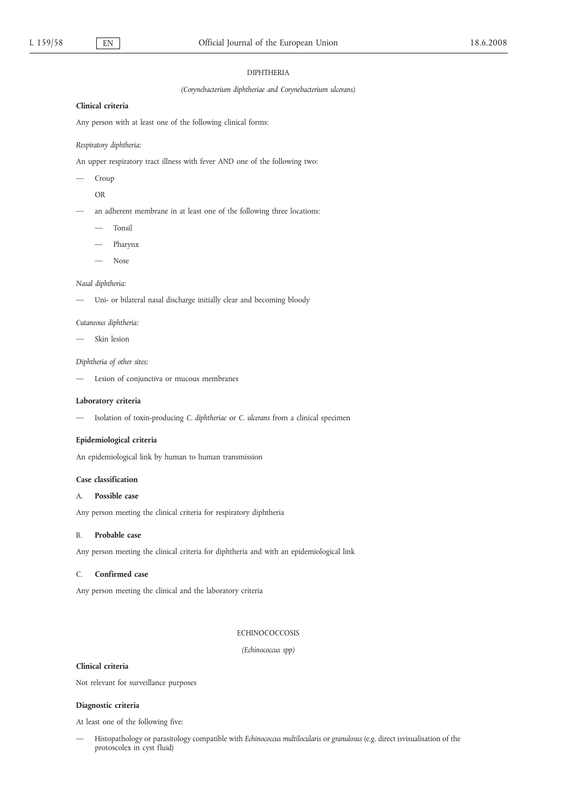#### DIPHTHERIA

### *(Corynebacterium diphtheriae and Corynebacterium ulcerans)*

#### **Clinical criteria**

Any person with at least one of the following clinical forms:

#### *Respiratory diphtheria:*

An upper respiratory tract illness with fever AND one of the following two:

- Croup
- OR
- an adherent membrane in at least one of the following three locations:
	- Tonsil
	- Pharynx
	- Nose

# *Nasal diphtheria:*

Uni- or bilateral nasal discharge initially clear and becoming bloody

### *Cutaneous diphtheria:*

— Skin lesion

#### *Diphtheria of other sites:*

— Lesion of conjunctiva or mucous membranes

#### **Laboratory criteria**

— Isolation of toxin-producing *C. diphtheriae* or *C. ulcerans* from a clinical specimen

## **Epidemiological criteria**

An epidemiological link by human to human transmission

## **Case classification**

## A. **Possible case**

Any person meeting the clinical criteria for respiratory diphtheria

## B. **Probable case**

Any person meeting the clinical criteria for diphtheria and with an epidemiological link

# C. **Confirmed case**

Any person meeting the clinical and the laboratory criteria

### **ECHINOCOCCOSIS**

*(Echinococcus spp)*

## **Clinical criteria**

Not relevant for surveillance purposes

## **Diagnostic criteria**

At least one of the following five:

— Histopathology or parasitology compatible with *Echinococcus multilocularis* or *granulosus* (e.g. direct isvisualisation of the protoscolex in cyst fluid)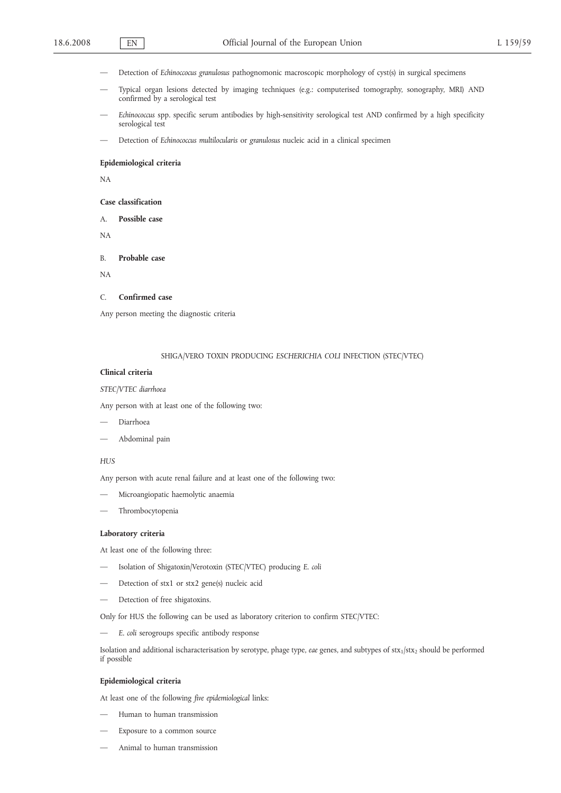- Detection of *Echinoccocus granulosus* pathognomonic macroscopic morphology of cyst(s) in surgical specimens
- Typical organ lesions detected by imaging techniques (e.g.: computerised tomography, sonography, MRI) AND confirmed by a serological test
- *Echinococcus* spp. specific serum antibodies by high-sensitivity serological test AND confirmed by a high specificity serological test
- Detection of *Echinococcus multilocularis* or *granulosus* nucleic acid in a clinical specimen

#### **Epidemiological criteria**

NA

### **Case classification**

A. **Possible case**

NA

B. **Probable case**

NA

### C. **Confirmed case**

Any person meeting the diagnostic criteria

### SHIGA/VERO TOXIN PRODUCING *ESCHERICHIA COLI* INFECTION (STEC/VTEC)

#### **Clinical criteria**

### *STEC/VTEC diarrhoea*

Any person with at least one of the following two:

- Diarrhoea
- Abdominal pain

## *HUS*

Any person with acute renal failure and at least one of the following two:

- Microangiopatic haemolytic anaemia
- Thrombocytopenia

### **Laboratory criteria**

At least one of the following three:

- Isolation of Shigatoxin/Verotoxin (STEC/VTEC) producing *E. coli*
- Detection of stx1 or stx2 gene(s) nucleic acid
- Detection of free shigatoxins.

Only for HUS the following can be used as laboratory criterion to confirm STEC/VTEC:

— *E. coli* serogroups specific antibody response

Isolation and additional ischaracterisation by serotype, phage type, *eae* genes, and subtypes of stx<sub>1</sub>/stx<sub>2</sub> should be performed if possible

#### **Epidemiological criteria**

At least one of the following *five epidemiological* links:

- Human to human transmission
- Exposure to a common source
- Animal to human transmission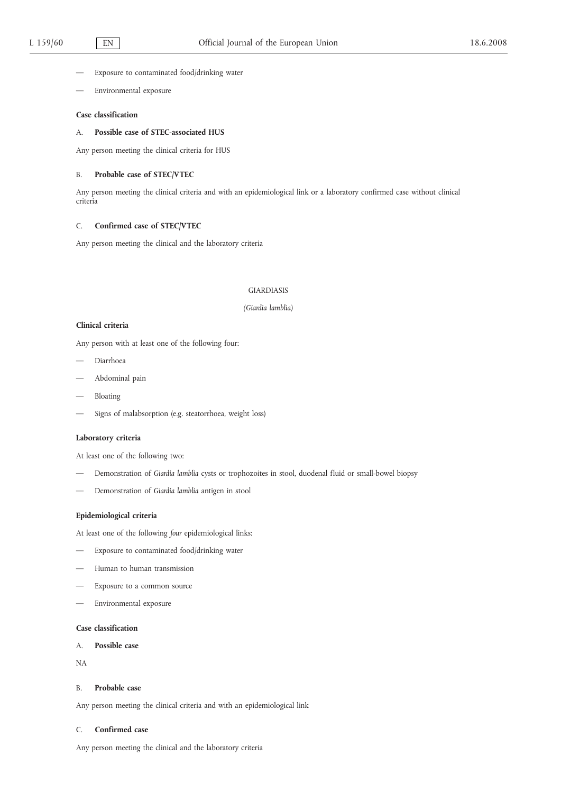- Exposure to contaminated food/drinking water
- Environmental exposure

## **Case classification**

## A. **Possible case of STEC-associated HUS**

Any person meeting the clinical criteria for HUS

### B. **Probable case of STEC/VTEC**

Any person meeting the clinical criteria and with an epidemiological link or a laboratory confirmed case without clinical criteria

## C. **Confirmed case of STEC/VTEC**

Any person meeting the clinical and the laboratory criteria

#### GIARDIASIS

### *(Giardia lamblia)*

## **Clinical criteria**

Any person with at least one of the following four:

- Diarrhoea
- Abdominal pain
- Bloating
- Signs of malabsorption (e.g. steatorrhoea, weight loss)

## **Laboratory criteria**

At least one of the following two:

- Demonstration of *Giardia lamblia* cysts or trophozoites in stool, duodenal fluid or small-bowel biopsy
- Demonstration of *Giardia lamblia* antigen in stool

## **Epidemiological criteria**

At least one of the following *four* epidemiological links:

- Exposure to contaminated food/drinking water
- Human to human transmission
- Exposure to a common source
- Environmental exposure

## **Case classification**

# A. **Possible case**

NA

## B. **Probable case**

Any person meeting the clinical criteria and with an epidemiological link

## C. **Confirmed case**

Any person meeting the clinical and the laboratory criteria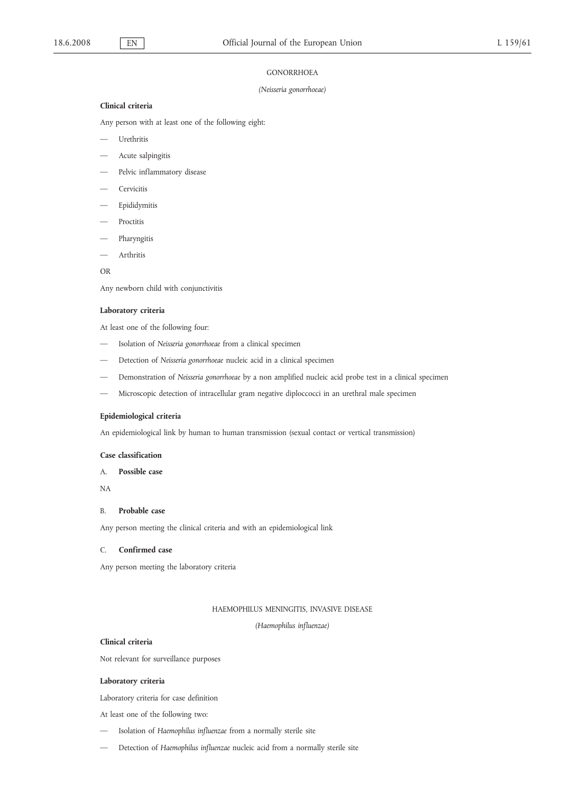### **GONORRHOEA**

#### *(Neisseria gonorrhoeae)*

## **Clinical criteria**

Any person with at least one of the following eight:

- Urethritis
- Acute salpingitis
- Pelvic inflammatory disease
- **Cervicitis**
- Epididymitis
- Proctitis
- Pharyngitis
- Arthritis

OR

Any newborn child with conjunctivitis

### **Laboratory criteria**

At least one of the following four:

- Isolation of *Neisseria gonorrhoeae* from a clinical specimen
- Detection of *Neisseria gonorrhoeae* nucleic acid in a clinical specimen
- Demonstration of *Neisseria gonorrhoeae* by a non amplified nucleic acid probe test in a clinical specimen
- Microscopic detection of intracellular gram negative diploccocci in an urethral male specimen

## **Epidemiological criteria**

An epidemiological link by human to human transmission (sexual contact or vertical transmission)

### **Case classification**

# A. **Possible case**

NA

## B. **Probable case**

Any person meeting the clinical criteria and with an epidemiological link

# C. **Confirmed case**

Any person meeting the laboratory criteria

## HAEMOPHILUS MENINGITIS, INVASIVE DISEASE

## *(Haemophilus influenzae)*

#### **Clinical criteria**

Not relevant for surveillance purposes

#### **Laboratory criteria**

Laboratory criteria for case definition

At least one of the following two:

- Isolation of *Haemophilus influenzae* from a normally sterile site
- Detection of *Haemophilus influenzae* nucleic acid from a normally sterile site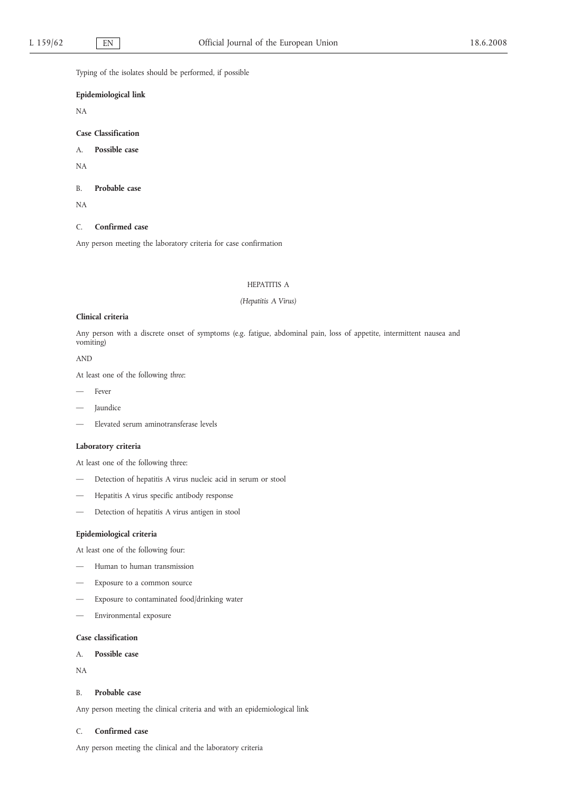Typing of the isolates should be performed, if possible

## **Epidemiological link**

NA

**Case Classification**

A. **Possible case**

NA

B. **Probable case**

NA

C. **Confirmed case**

Any person meeting the laboratory criteria for case confirmation

# HEPATITIS A

#### *(Hepatitis A Virus)*

#### **Clinical criteria**

Any person with a discrete onset of symptoms (e.g. fatigue, abdominal pain, loss of appetite, intermittent nausea and vomiting)

AND

At least one of the following *three*:

- Fever
- **Jaundice**
- Elevated serum aminotransferase levels

### **Laboratory criteria**

At least one of the following three:

- Detection of hepatitis A virus nucleic acid in serum or stool
- Hepatitis A virus specific antibody response
- Detection of hepatitis A virus antigen in stool

## **Epidemiological criteria**

At least one of the following four:

- Human to human transmission
- Exposure to a common source
- Exposure to contaminated food/drinking water
- Environmental exposure

# **Case classification**

A. **Possible case**

NA

## B. **Probable case**

Any person meeting the clinical criteria and with an epidemiological link

## C. **Confirmed case**

Any person meeting the clinical and the laboratory criteria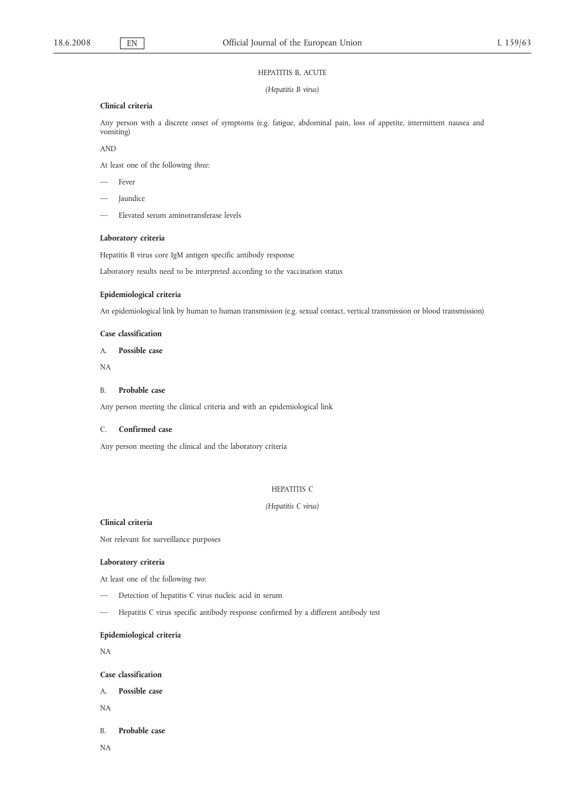### HEPATITIS B, ACUTE

*(Hepatitis B virus)*

## **Clinical criteria**

Any person with a discrete onset of symptoms (e.g. fatigue, abdominal pain, loss of appetite, intermittent nausea and vomiting)

AND

At least one of the following *three*:

- Fever
- **Jaundice**
- Elevated serum aminotransferase levels

### **Laboratory criteria**

Hepatitis B virus core IgM antigen specific antibody response

Laboratory results need to be interpreted according to the vaccination status

## **Epidemiological criteria**

An epidemiological link by human to human transmission (e.g. sexual contact, vertical transmission or blood transmission)

## **Case classification**

A. **Possible case**

NA

## B. **Probable case**

Any person meeting the clinical criteria and with an epidemiological link

## C. **Confirmed case**

Any person meeting the clinical and the laboratory criteria

# HEPATITIS C

## *(Hepatitis C virus)*

## **Clinical criteria**

Not relevant for surveillance purposes

## **Laboratory criteria**

At least one of the following *two*:

- Detection of hepatitis C virus nucleic acid in serum
- Hepatitis C virus specific antibody response confirmed by a different antibody test

# **Epidemiological criteria**

NA

# **Case classification**

- A. **Possible case**
- NA
- B. **Probable case**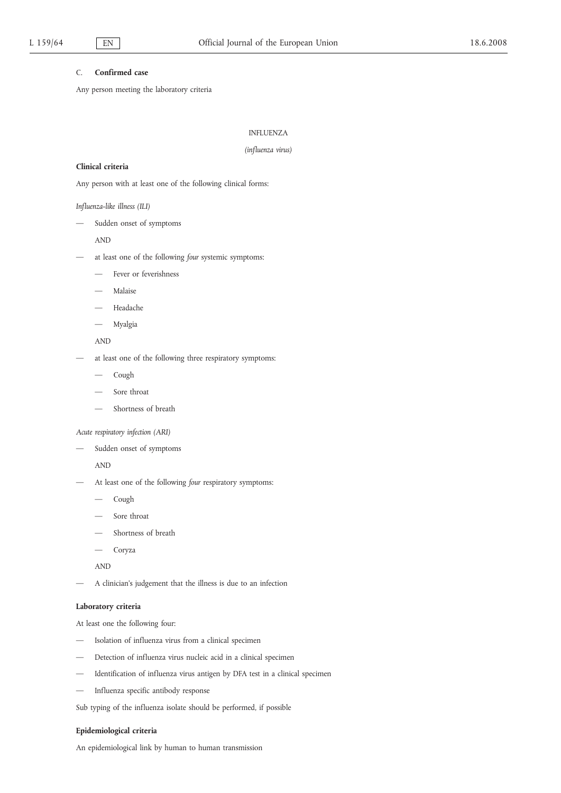## C. **Confirmed case**

Any person meeting the laboratory criteria

# INFLUENZA

### *(influenza virus)*

#### **Clinical criteria**

Any person with at least one of the following clinical forms:

## *Influenza-like illness (ILI)*

— Sudden onset of symptoms

AND

- at least one of the following *four* systemic symptoms:
	- Fever or feverishness
	- Malaise
	- Headache
	- Myalgia

## AND

- at least one of the following three respiratory symptoms:
	- Cough
	- Sore throat
	- Shortness of breath

*Acute respiratory infection (ARI)*

Sudden onset of symptoms

AND

- At least one of the following *four* respiratory symptoms:
	- Cough
	- Sore throat
	- Shortness of breath
	- Coryza

AND

— A clinician's judgement that the illness is due to an infection

## **Laboratory criteria**

At least one the following four:

- Isolation of influenza virus from a clinical specimen
- Detection of influenza virus nucleic acid in a clinical specimen
- Identification of influenza virus antigen by DFA test in a clinical specimen
- Influenza specific antibody response

Sub typing of the influenza isolate should be performed, if possible

## **Epidemiological criteria**

An epidemiological link by human to human transmission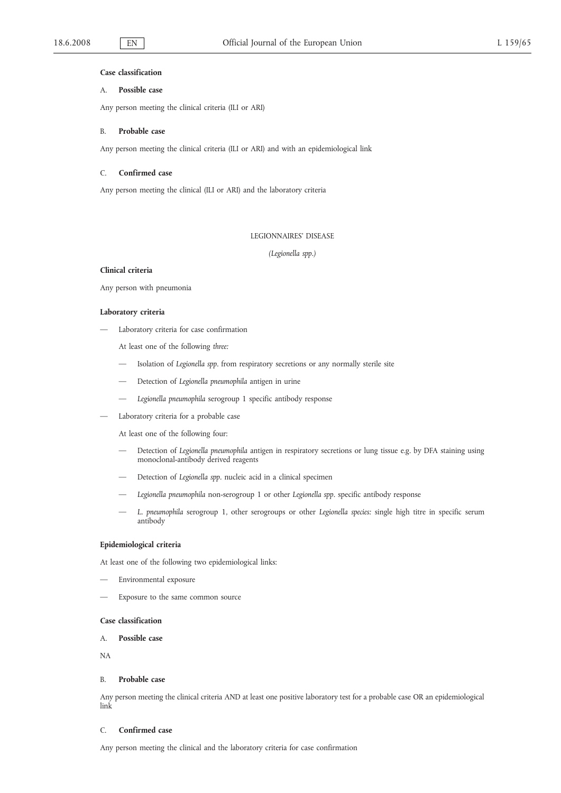### **Case classification**

## A. **Possible case**

Any person meeting the clinical criteria (ILI or ARI)

## B. **Probable case**

Any person meeting the clinical criteria (ILI or ARI) and with an epidemiological link

## C. **Confirmed case**

Any person meeting the clinical (ILI or ARI) and the laboratory criteria

## LEGIONNAIRES' DISEASE

*(Legionella spp.)*

## **Clinical criteria**

Any person with pneumonia

#### **Laboratory criteria**

— Laboratory criteria for case confirmation

At least one of the following *three:*

- Isolation of *Legionella spp*. from respiratory secretions or any normally sterile site
- Detection of *Legionella pneumophila* antigen in urine
- *Legionella pneumophila* serogroup 1 specific antibody response
- Laboratory criteria for a probable case

At least one of the following four:

- Detection of *Legionella pneumophila* antigen in respiratory secretions or lung tissue e.g. by DFA staining using monoclonal-antibody derived reagents
- Detection of *Legionella spp.* nucleic acid in a clinical specimen
- *Legionella pneumophila* non-serogroup 1 or other *Legionella spp.* specific antibody response
- *L. pneumophila* serogroup 1, other serogroups or other *Legionella species:* single high titre in specific serum antibody

## **Epidemiological criteria**

At least one of the following two epidemiological links:

- Environmental exposure
- Exposure to the same common source

#### **Case classification**

## A. **Possible case**

NA

#### B. **Probable case**

Any person meeting the clinical criteria AND at least one positive laboratory test for a probable case OR an epidemiological link

## C. **Confirmed case**

Any person meeting the clinical and the laboratory criteria for case confirmation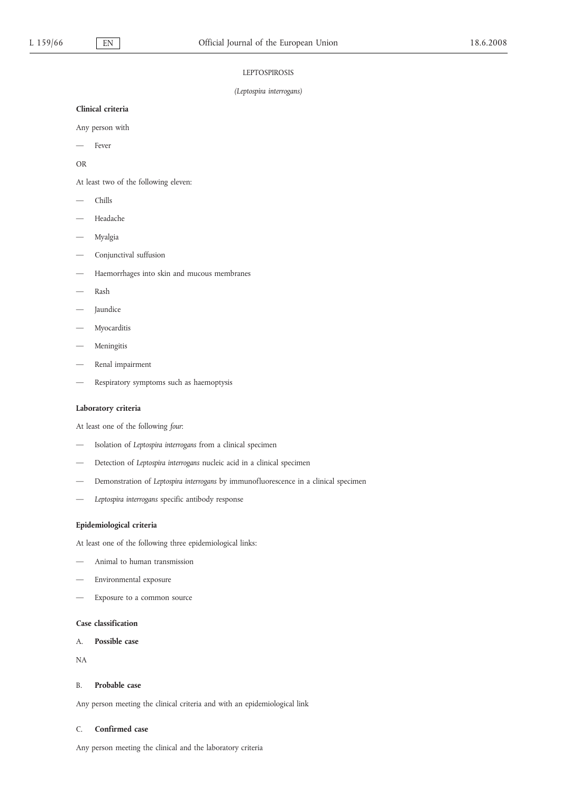### **LEPTOSPIROSIS**

### *(Leptospira interrogans)*

## **Clinical criteria**

Any person with

Fever

OR

At least two of the following eleven:

- Chills
- Headache
- Myalgia
- Conjunctival suffusion
- Haemorrhages into skin and mucous membranes
- Rash
- **Jaundice**
- Myocarditis
- Meningitis
- Renal impairment
- Respiratory symptoms such as haemoptysis

# **Laboratory criteria**

At least one of the following *four*:

- Isolation of *Leptospira interrogans* from a clinical specimen
- Detection of *Leptospira interrogans* nucleic acid in a clinical specimen
- Demonstration of *Leptospira interrogans* by immunofluorescence in a clinical specimen
- *Leptospira interrogans* specific antibody response

## **Epidemiological criteria**

At least one of the following three epidemiological links:

- Animal to human transmission
- Environmental exposure
- Exposure to a common source

## **Case classification**

A. **Possible case**

NA

## B. **Probable case**

Any person meeting the clinical criteria and with an epidemiological link

### C. **Confirmed case**

Any person meeting the clinical and the laboratory criteria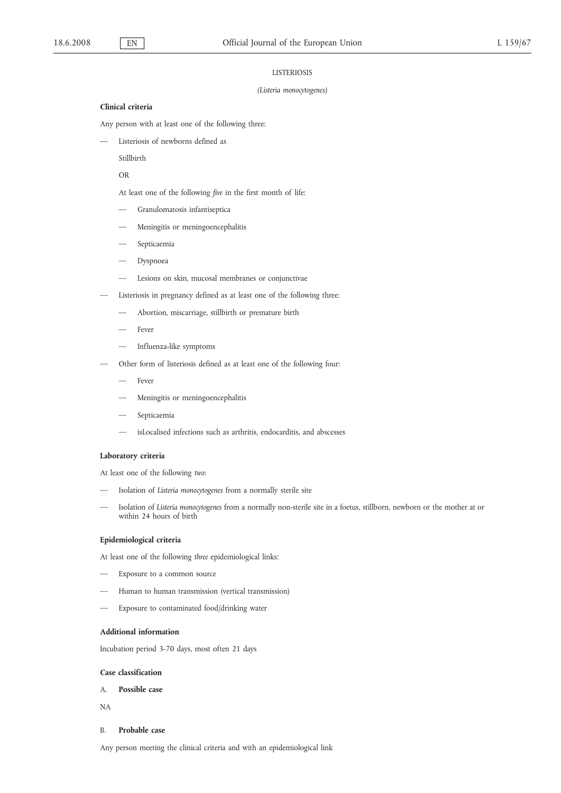#### LISTERIOSIS

#### *(Listeria monocytogenes)*

#### **Clinical criteria**

Any person with at least one of the following three:

Listeriosis of newborns defined as

Stillbirth

OR

At least one of the following *five* in the first month of life:

- Granulomatosis infantiseptica
- Meningitis or meningoencephalitis
- Septicaemia
- **Dyspnoea**
- Lesions on skin, mucosal membranes or conjunctivae
- Listeriosis in pregnancy defined as at least one of the following three:
	- Abortion, miscarriage, stillbirth or premature birth
	- Fever
	- Influenza-like symptoms
- Other form of listeriosis defined as at least one of the following four:
	- Fever
	- Meningitis or meningoencephalitis
	- Septicaemia
	- isLocalised infections such as arthritis, endocarditis, and abscesses

## **Laboratory criteria**

At least one of the following *two*:

- Isolation of *Listeria monocytogenes* from a normally sterile site
- Isolation of *Listeria monocytogenes* from a normally non-sterile site in a foetus, stillborn, newborn or the mother at or within 24 hours of birth

## **Epidemiological criteria**

At least one of the following *three* epidemiological links:

- Exposure to a common source
- Human to human transmission (vertical transmission)
- Exposure to contaminated food/drinking water

## **Additional information**

Incubation period 3-70 days, most often 21 days

## **Case classification**

- A. **Possible case**
- NA

## B. **Probable case**

Any person meeting the clinical criteria and with an epidemiological link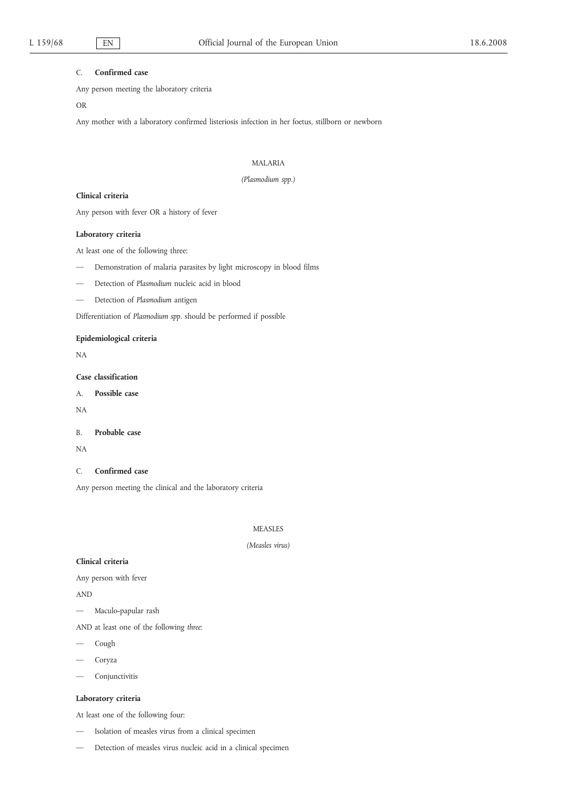## C. **Confirmed case**

Any person meeting the laboratory criteria

OR

Any mother with a laboratory confirmed listeriosis infection in her foetus, stillborn or newborn

## MALARIA

## *(Plasmodium spp.)*

## **Clinical criteria**

Any person with fever OR a history of fever

### **Laboratory criteria**

At least one of the following three:

- Demonstration of malaria parasites by light microscopy in blood films
- Detection of *Plasmodium* nucleic acid in blood
- Detection of *Plasmodium* antigen

Differentiation of *Plasmodium spp*. should be performed if possible

## **Epidemiological criteria**

NA

# **Case classification**

A. **Possible case**

NA

B. **Probable case**

NA

C. **Confirmed case**

Any person meeting the clinical and the laboratory criteria

## MEASLES

## *(Measles virus)*

## **Clinical criteria**

Any person with fever

AND

- Maculo-papular rash
- AND at least one of the following *three*:
- Cough
- Coryza
- Conjunctivitis

# **Laboratory criteria**

At least one of the following four:

- Isolation of measles virus from a clinical specimen
- Detection of measles virus nucleic acid in a clinical specimen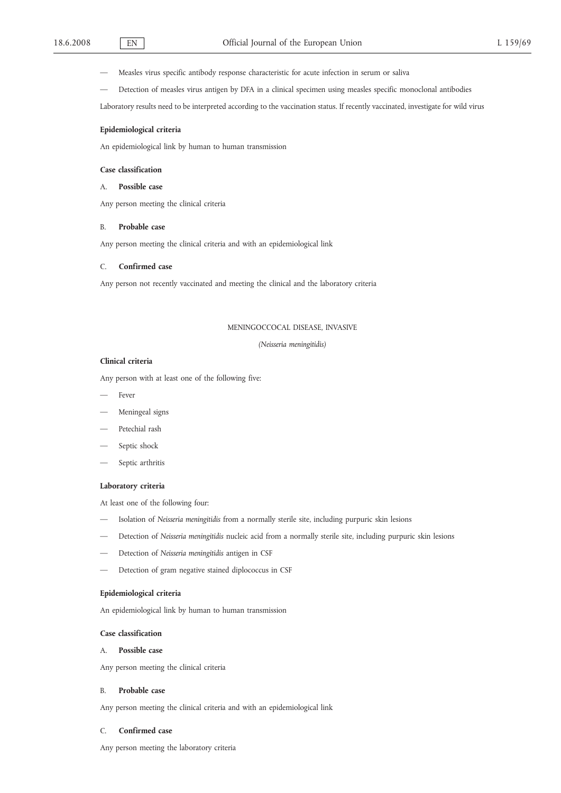- Measles virus specific antibody response characteristic for acute infection in serum or saliva
- Detection of measles virus antigen by DFA in a clinical specimen using measles specific monoclonal antibodies

Laboratory results need to be interpreted according to the vaccination status. If recently vaccinated, investigate for wild virus

## **Epidemiological criteria**

An epidemiological link by human to human transmission

## **Case classification**

## A. **Possible case**

Any person meeting the clinical criteria

#### B. **Probable case**

Any person meeting the clinical criteria and with an epidemiological link

### C. **Confirmed case**

Any person not recently vaccinated and meeting the clinical and the laboratory criteria

#### MENINGOCCOCAL DISEASE, INVASIVE

*(Neisseria meningitidis)*

#### **Clinical criteria**

Any person with at least one of the following five:

- Fever
- Meningeal signs
- Petechial rash
- Septic shock
- Septic arthritis

#### **Laboratory criteria**

At least one of the following four:

- Isolation of *Neisseria meningitidis* from a normally sterile site, including purpuric skin lesions
- Detection of *Neisseria meningitidis* nucleic acid from a normally sterile site, including purpuric skin lesions
- Detection of *Neisseria meningitidis* antigen in CSF
- Detection of gram negative stained diplococcus in CSF

## **Epidemiological criteria**

An epidemiological link by human to human transmission

### **Case classification**

### A. **Possible case**

Any person meeting the clinical criteria

## B. **Probable case**

Any person meeting the clinical criteria and with an epidemiological link

#### C. **Confirmed case**

Any person meeting the laboratory criteria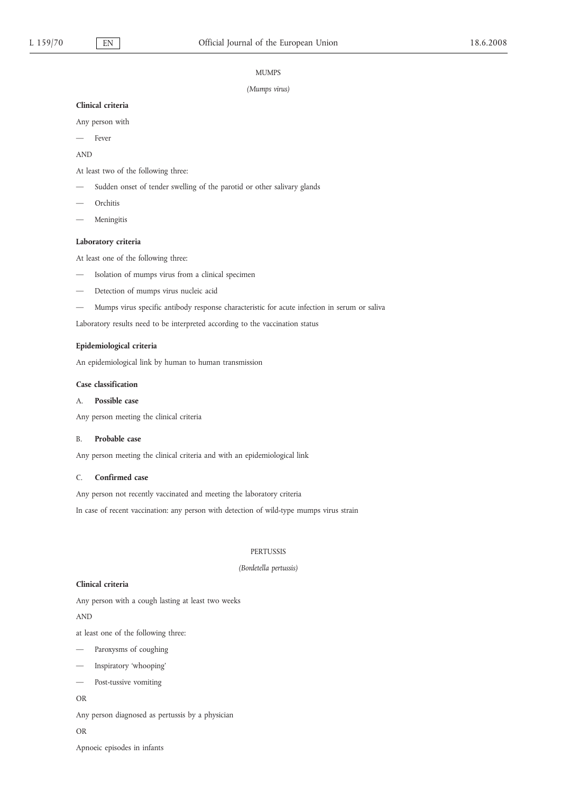#### MUMPS

#### *(Mumps virus)*

#### **Clinical criteria**

Any person with

— Fever

AND

At least two of the following three:

- Sudden onset of tender swelling of the parotid or other salivary glands
- Orchitis
- Meningitis

## **Laboratory criteria**

At least one of the following three:

- Isolation of mumps virus from a clinical specimen
- Detection of mumps virus nucleic acid
- Mumps virus specific antibody response characteristic for acute infection in serum or saliva

Laboratory results need to be interpreted according to the vaccination status

## **Epidemiological criteria**

An epidemiological link by human to human transmission

#### **Case classification**

## A. **Possible case**

Any person meeting the clinical criteria

#### B. **Probable case**

Any person meeting the clinical criteria and with an epidemiological link

## C. **Confirmed case**

Any person not recently vaccinated and meeting the laboratory criteria

In case of recent vaccination: any person with detection of wild-type mumps virus strain

### PERTUSSIS

#### *(Bordetella pertussis)*

## **Clinical criteria**

Any person with a cough lasting at least two weeks

AND

at least one of the following three:

- Paroxysms of coughing
- Inspiratory 'whooping'
- Post-tussive vomiting

# OR

Any person diagnosed as pertussis by a physician

#### OR

Apnoeic episodes in infants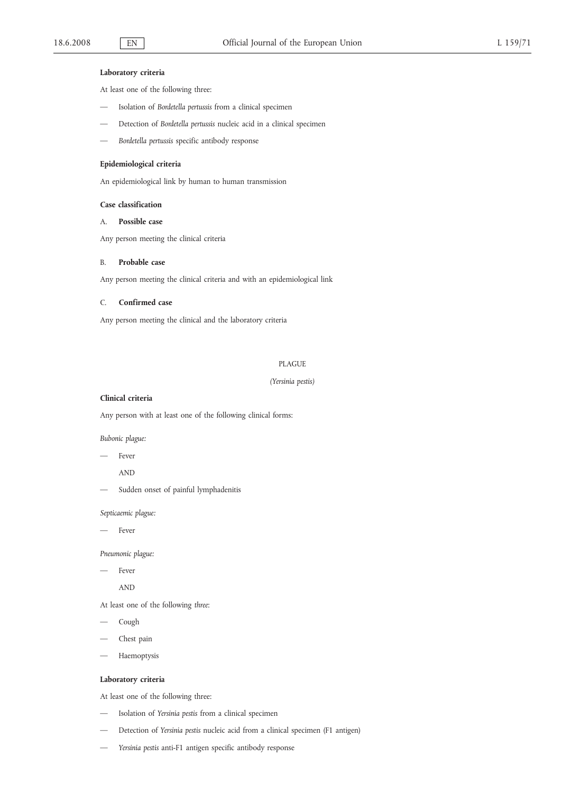## **Laboratory criteria**

At least one of the following three:

- Isolation of *Bordetella pertussis* from a clinical specimen
- Detection of *Bordetella pertussis* nucleic acid in a clinical specimen
- *Bordetella pertussis* specific antibody response

## **Epidemiological criteria**

An epidemiological link by human to human transmission

### **Case classification**

# A. **Possible case**

Any person meeting the clinical criteria

## B. **Probable case**

Any person meeting the clinical criteria and with an epidemiological link

## C. **Confirmed case**

Any person meeting the clinical and the laboratory criteria

### PLAGUE

*(Yersinia pestis)*

## **Clinical criteria**

Any person with at least one of the following clinical forms:

*Bubonic plague:*

Fever

AND

Sudden onset of painful lymphadenitis

*Septicaemic plague:*

Fever

*Pneumonic plague:*

Fever

AND

At least one of the following *three*:

- Cough
- Chest pain
- Haemoptysis

## **Laboratory criteria**

At least one of the following three:

- Isolation of *Yersinia pestis* from a clinical specimen
- Detection of *Yersinia pestis* nucleic acid from a clinical specimen (F1 antigen)
- *Yersinia pestis* anti-F1 antigen specific antibody response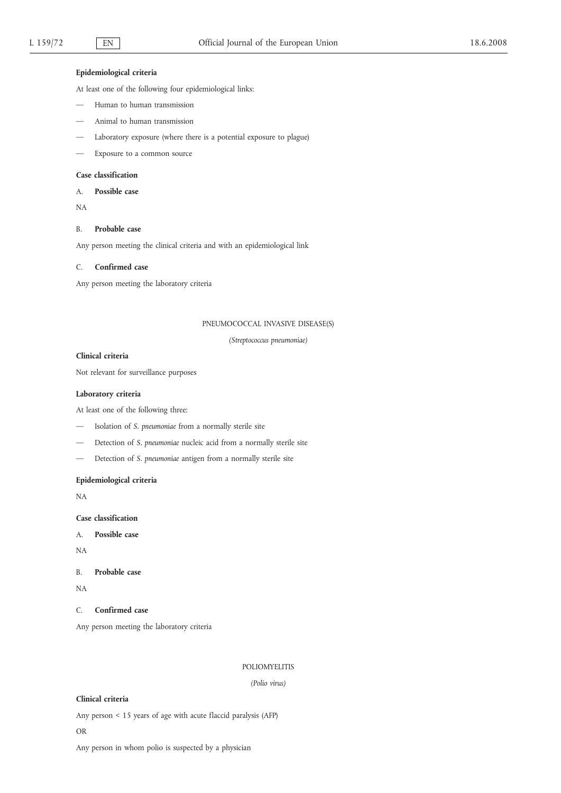## **Epidemiological criteria**

At least one of the following four epidemiological links:

- Human to human transmission
- Animal to human transmission
- Laboratory exposure (where there is a potential exposure to plague)
- Exposure to a common source

## **Case classification**

A. **Possible case**

NA

### B. **Probable case**

Any person meeting the clinical criteria and with an epidemiological link

### C. **Confirmed case**

Any person meeting the laboratory criteria

## PNEUMOCOCCAL INVASIVE DISEASE(S)

*(Streptococcus pneumoniae)*

## **Clinical criteria**

Not relevant for surveillance purposes

## **Laboratory criteria**

At least one of the following three:

- Isolation of *S. pneumoniae* from a normally sterile site
- Detection of *S. pneumoniae* nucleic acid from a normally sterile site
- Detection of *S. pneumoniae* antigen from a normally sterile site

### **Epidemiological criteria**

NA

**Case classification**

A. **Possible case**

NA

B. **Probable case**

NA

C. **Confirmed case**

Any person meeting the laboratory criteria

#### POLIOMYELITIS

*(Polio virus)*

# **Clinical criteria**

Any person < 15 years of age with acute flaccid paralysis (AFP)

## OR

Any person in whom polio is suspected by a physician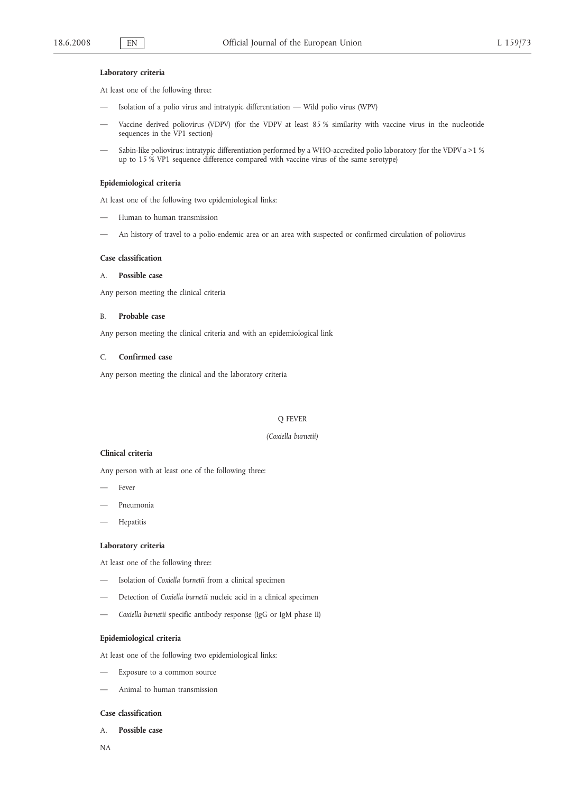### **Laboratory criteria**

At least one of the following three:

- Isolation of a polio virus and intratypic differentiation Wild polio virus (WPV)
- Vaccine derived poliovirus (VDPV) (for the VDPV at least 85 % similarity with vaccine virus in the nucleotide sequences in the VP1 section)
- Sabin-like poliovirus: intratypic differentiation performed by a WHO-accredited polio laboratory (for the VDPV a  $>1$  % up to 15 % VP1 sequence difference compared with vaccine virus of the same serotype)

## **Epidemiological criteria**

At least one of the following two epidemiological links:

- Human to human transmission
- An history of travel to a polio-endemic area or an area with suspected or confirmed circulation of poliovirus

#### **Case classification**

## A. **Possible case**

Any person meeting the clinical criteria

#### B. **Probable case**

Any person meeting the clinical criteria and with an epidemiological link

### C. **Confirmed case**

Any person meeting the clinical and the laboratory criteria

### Q FEVER

### *(Coxiella burnetii)*

### **Clinical criteria**

Any person with at least one of the following three:

- Fever
- Pneumonia
- Hepatitis

#### **Laboratory criteria**

At least one of the following three:

- Isolation of *Coxiella burnetii* from a clinical specimen
- Detection of *Coxiella burnetii* nucleic acid in a clinical specimen
- *Coxiella burnetii* specific antibody response (IgG or IgM phase II)

## **Epidemiological criteria**

At least one of the following two epidemiological links:

- Exposure to a common source
- Animal to human transmission

#### **Case classification**

A. **Possible case**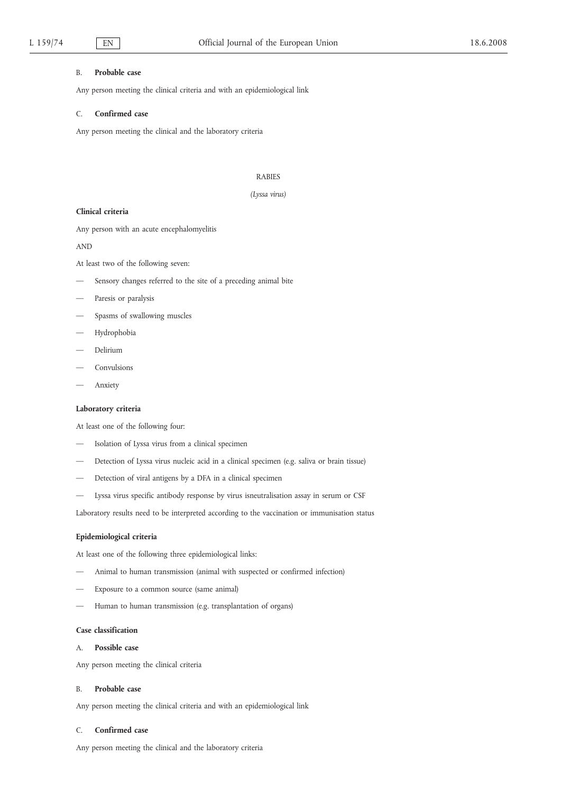### B. **Probable case**

Any person meeting the clinical criteria and with an epidemiological link

### C. **Confirmed case**

Any person meeting the clinical and the laboratory criteria

#### RABIES

### *(Lyssa virus)*

## **Clinical criteria**

Any person with an acute encephalomyelitis

### AND

At least two of the following seven:

- Sensory changes referred to the site of a preceding animal bite
- Paresis or paralysis
- Spasms of swallowing muscles
- Hydrophobia
- Delirium
- Convulsions
- Anxiety

## **Laboratory criteria**

At least one of the following four:

- Isolation of Lyssa virus from a clinical specimen
- Detection of Lyssa virus nucleic acid in a clinical specimen (e.g. saliva or brain tissue)
- Detection of viral antigens by a DFA in a clinical specimen
- Lyssa virus specific antibody response by virus isneutralisation assay in serum or CSF

Laboratory results need to be interpreted according to the vaccination or immunisation status

## **Epidemiological criteria**

At least one of the following three epidemiological links:

- Animal to human transmission (animal with suspected or confirmed infection)
- Exposure to a common source (same animal)
- Human to human transmission (e.g. transplantation of organs)

### **Case classification**

### A. **Possible case**

Any person meeting the clinical criteria

## B. **Probable case**

Any person meeting the clinical criteria and with an epidemiological link

## C. **Confirmed case**

Any person meeting the clinical and the laboratory criteria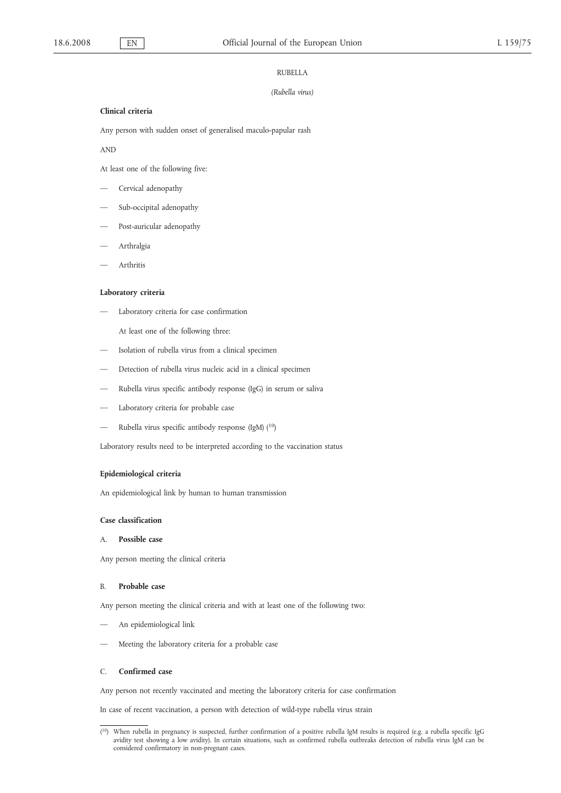#### RUBELLA

#### *(Rubella virus)*

## **Clinical criteria**

Any person with sudden onset of generalised maculo-papular rash

AND

At least one of the following five:

- Cervical adenopathy
- Sub-occipital adenopathy
- Post-auricular adenopathy
- Arthralgia
- Arthritis

### **Laboratory criteria**

— Laboratory criteria for case confirmation

At least one of the following three:

- Isolation of rubella virus from a clinical specimen
- Detection of rubella virus nucleic acid in a clinical specimen
- Rubella virus specific antibody response (IgG) in serum or saliva
- Laboratory criteria for probable case
- Rubella virus specific antibody response (IgM) (<sup>10</sup>)

Laboratory results need to be interpreted according to the vaccination status

## **Epidemiological criteria**

An epidemiological link by human to human transmission

## **Case classification**

### A. **Possible case**

Any person meeting the clinical criteria

#### B. **Probable case**

Any person meeting the clinical criteria and with at least one of the following two:

- An epidemiological link
- Meeting the laboratory criteria for a probable case

#### C. **Confirmed case**

Any person not recently vaccinated and meeting the laboratory criteria for case confirmation

In case of recent vaccination, a person with detection of wild-type rubella virus strain

 $(10)$ 10) When rubella in pregnancy is suspected, further confirmation of a positive rubella IgM results is required (e.g. a rubella specific IgG avidity test showing a low avidity). In certain situations, such as confirmed rubella outbreaks detection of rubella virus IgM can be considered confirmatory in non-pregnant cases.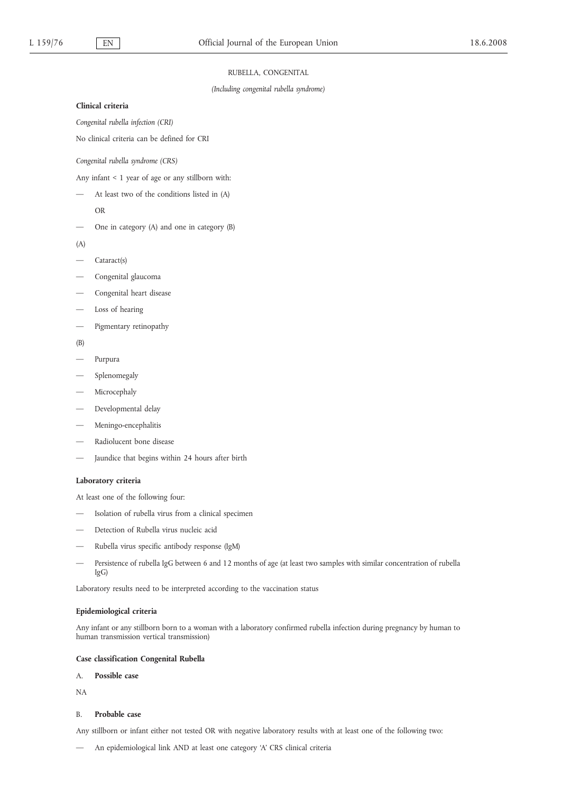### RUBELLA, CONGENITAL

*(Including congenital rubella syndrome)*

### **Clinical criteria**

*Congenital rubella infection (CRI)*

No clinical criteria can be defined for CRI

*Congenital rubella syndrome (CRS)*

Any infant < 1 year of age or any stillborn with:

— At least two of the conditions listed in (A)

- OR
- One in category (A) and one in category (B)
- $(A)$
- Cataract(s)
- Congenital glaucoma
- Congenital heart disease
- Loss of hearing
- Pigmentary retinopathy
- (B)
- Purpura
- Splenomegaly
- Microcephaly
- Developmental delay
- Meningo-encephalitis
- Radiolucent bone disease
- Jaundice that begins within 24 hours after birth

## **Laboratory criteria**

At least one of the following four:

- Isolation of rubella virus from a clinical specimen
- Detection of Rubella virus nucleic acid
- Rubella virus specific antibody response (IgM)
- Persistence of rubella IgG between 6 and 12 months of age (at least two samples with similar concentration of rubella IgG)

Laboratory results need to be interpreted according to the vaccination status

### **Epidemiological criteria**

Any infant or any stillborn born to a woman with a laboratory confirmed rubella infection during pregnancy by human to human transmission vertical transmission)

## **Case classification Congenital Rubella**

A. **Possible case**

NA

# B. **Probable case**

Any stillborn or infant either not tested OR with negative laboratory results with at least one of the following two:

— An epidemiological link AND at least one category 'A' CRS clinical criteria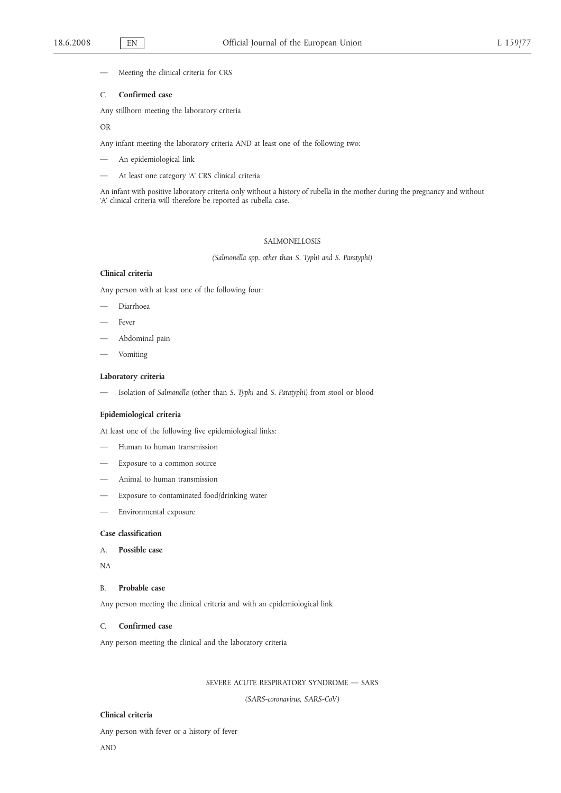Meeting the clinical criteria for CRS

#### C. **Confirmed case**

Any stillborn meeting the laboratory criteria

#### OR

Any infant meeting the laboratory criteria AND at least one of the following two:

- An epidemiological link
- At least one category 'A' CRS clinical criteria

An infant with positive laboratory criteria only without a history of rubella in the mother during the pregnancy and without 'A' clinical criteria will therefore be reported as rubella case.

## SALMONELLOSIS

*(Salmonella spp. other than S. Typhi and S. Paratyphi)*

## **Clinical criteria**

Any person with at least one of the following four:

- Diarrhoea
- Fever
- Abdominal pain
- Vomiting

## **Laboratory criteria**

— Isolation of *Salmonella* (other than *S. Typhi* and *S. Paratyphi)* from stool or blood

#### **Epidemiological criteria**

At least one of the following five epidemiological links:

- Human to human transmission
- Exposure to a common source
- Animal to human transmission
- Exposure to contaminated food/drinking water
- Environmental exposure

### **Case classification**

- A. **Possible case**
- NA

#### B. **Probable case**

Any person meeting the clinical criteria and with an epidemiological link

### C. **Confirmed case**

Any person meeting the clinical and the laboratory criteria

### SEVERE ACUTE RESPIRATORY SYNDROME — SARS

*(SARS-coronavirus, SARS-CoV)*

## **Clinical criteria**

Any person with fever or a history of fever AND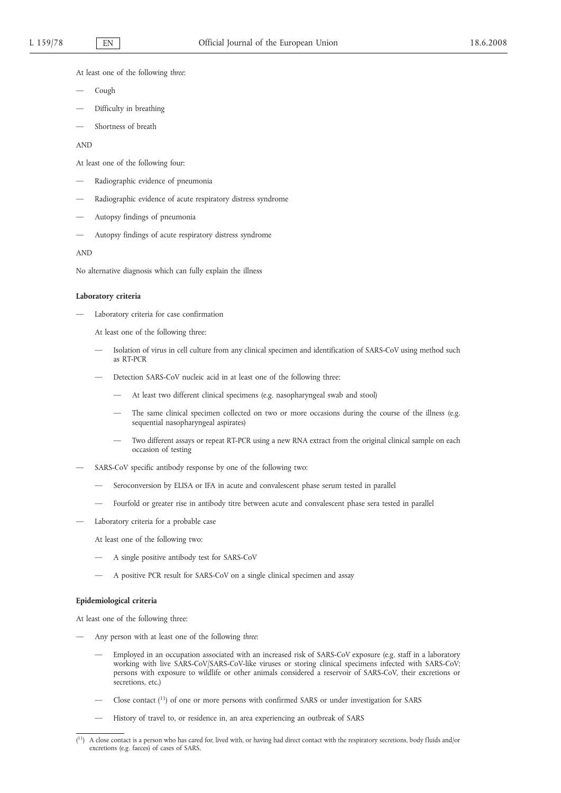At least one of the following *three*:

- Cough
- Difficulty in breathing
- Shortness of breath

AND

At least one of the following four:

- Radiographic evidence of pneumonia
- Radiographic evidence of acute respiratory distress syndrome
- Autopsy findings of pneumonia
- Autopsy findings of acute respiratory distress syndrome

AND

No alternative diagnosis which can fully explain the illness

#### **Laboratory criteria**

— Laboratory criteria for case confirmation

At least one of the following three:

- Isolation of virus in cell culture from any clinical specimen and identification of SARS-CoV using method such as RT-PCR
- Detection SARS-CoV nucleic acid in at least one of the following three:
	- At least two different clinical specimens (e.g. nasopharyngeal swab and stool)
	- The same clinical specimen collected on two or more occasions during the course of the illness (e.g. sequential nasopharyngeal aspirates)
	- Two different assays or repeat RT-PCR using a new RNA extract from the original clinical sample on each occasion of testing
- SARS-CoV specific antibody response by one of the following two:
	- Seroconversion by ELISA or IFA in acute and convalescent phase serum tested in parallel
	- Fourfold or greater rise in antibody titre between acute and convalescent phase sera tested in parallel
- Laboratory criteria for a probable case

At least one of the following two:

- A single positive antibody test for SARS-CoV
- A positive PCR result for SARS-CoV on a single clinical specimen and assay

## **Epidemiological criteria**

At least one of the following three:

- Any person with at least one of the following *three*:
	- Employed in an occupation associated with an increased risk of SARS-CoV exposure (e.g. staff in a laboratory working with live SARS-CoV/SARS-CoV-like viruses or storing clinical specimens infected with SARS-CoV; persons with exposure to wildlife or other animals considered a reservoir of SARS-CoV, their excretions or secretions, etc.)
	- Close contact (11) of one or more persons with confirmed SARS or under investigation for SARS
	- History of travel to, or residence in, an area experiencing an outbreak of SARS

<sup>(</sup> A close contact is a person who has cared for, lived with, or having had direct contact with the respiratory secretions, body fluids and/or excretions (e.g. faeces) of cases of SARS.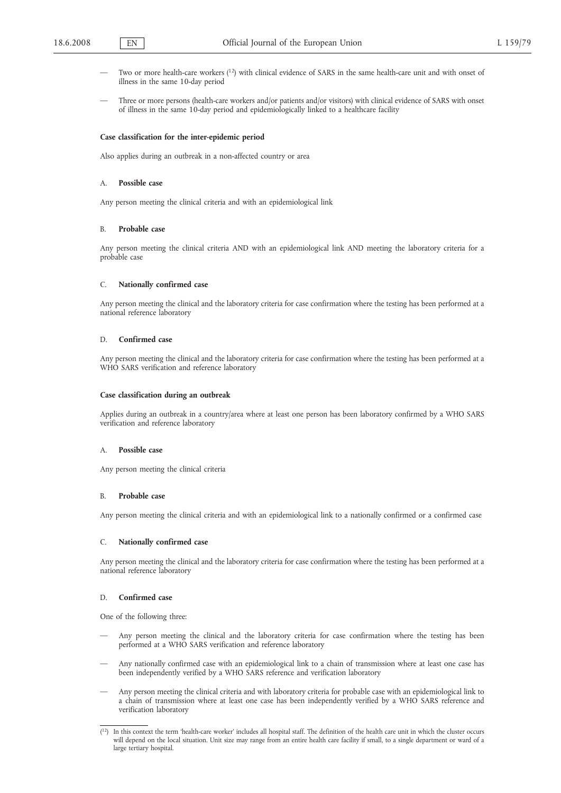- Two or more health-care workers  $(1^2)$  with clinical evidence of SARS in the same health-care unit and with onset of illness in the same 10-day period
- Three or more persons (health-care workers and/or patients and/or visitors) with clinical evidence of SARS with onset of illness in the same 10-day period and epidemiologically linked to a healthcare facility

#### **Case classification for the inter-epidemic period**

Also applies during an outbreak in a non-affected country or area

#### A. **Possible case**

Any person meeting the clinical criteria and with an epidemiological link

#### B. **Probable case**

Any person meeting the clinical criteria AND with an epidemiological link AND meeting the laboratory criteria for a probable case

#### C. **Nationally confirmed case**

Any person meeting the clinical and the laboratory criteria for case confirmation where the testing has been performed at a national reference laboratory

#### D. **Confirmed case**

Any person meeting the clinical and the laboratory criteria for case confirmation where the testing has been performed at a WHO SARS verification and reference laboratory

#### **Case classification during an outbreak**

Applies during an outbreak in a country/area where at least one person has been laboratory confirmed by a WHO SARS verification and reference laboratory

### A. **Possible case**

Any person meeting the clinical criteria

#### B. **Probable case**

Any person meeting the clinical criteria and with an epidemiological link to a nationally confirmed or a confirmed case

### C. **Nationally confirmed case**

Any person meeting the clinical and the laboratory criteria for case confirmation where the testing has been performed at a national reference laboratory

### D. **Confirmed case**

One of the following three:

- Any person meeting the clinical and the laboratory criteria for case confirmation where the testing has been performed at a WHO SARS verification and reference laboratory
- Any nationally confirmed case with an epidemiological link to a chain of transmission where at least one case has been independently verified by a WHO SARS reference and verification laboratory
- Any person meeting the clinical criteria and with laboratory criteria for probable case with an epidemiological link to a chain of transmission where at least one case has been independently verified by a WHO SARS reference and verification laboratory

 $(1^2)$  In this context the term 'health-care worker' includes all hospital staff. The definition of the health care unit in which the cluster occurs will depend on the local situation. Unit size may range from an entire health care facility if small, to a single department or ward of a large tertiary hospital.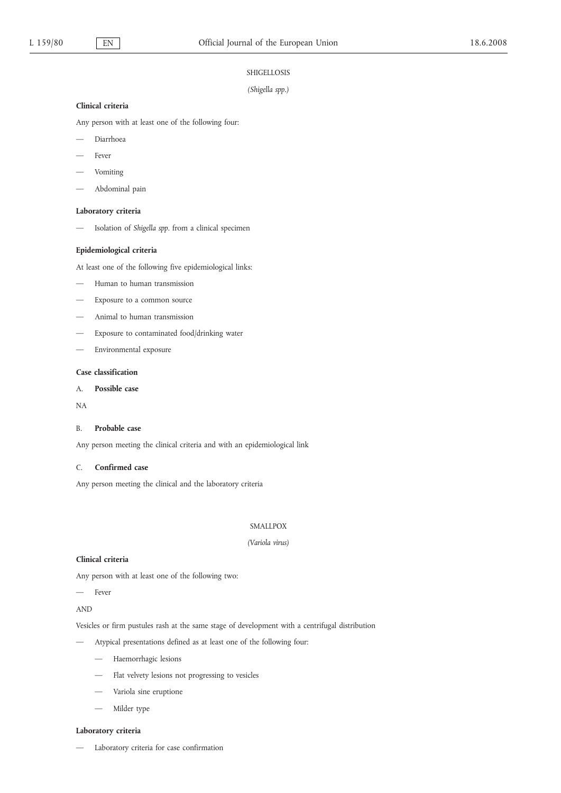## SHIGELLOSIS

## *(Shigella spp.)*

### **Clinical criteria**

Any person with at least one of the following four:

- Diarrhoea
- Fever
- Vomiting
- Abdominal pain

## **Laboratory criteria**

— Isolation of *Shigella spp*. from a clinical specimen

### **Epidemiological criteria**

At least one of the following five epidemiological links:

- Human to human transmission
- Exposure to a common source
- Animal to human transmission
- Exposure to contaminated food/drinking water
- Environmental exposure

## **Case classification**

# A. **Possible case**

NA

## B. **Probable case**

Any person meeting the clinical criteria and with an epidemiological link

### C. **Confirmed case**

Any person meeting the clinical and the laboratory criteria

## SMALLPOX

# *(Variola virus)*

# **Clinical criteria**

Any person with at least one of the following two:

# Fever

AND

Vesicles or firm pustules rash at the same stage of development with a centrifugal distribution

- Atypical presentations defined as at least one of the following four:
	- Haemorrhagic lesions
	- Flat velvety lesions not progressing to vesicles
	- Variola sine eruptione
	- Milder type

### **Laboratory criteria**

— Laboratory criteria for case confirmation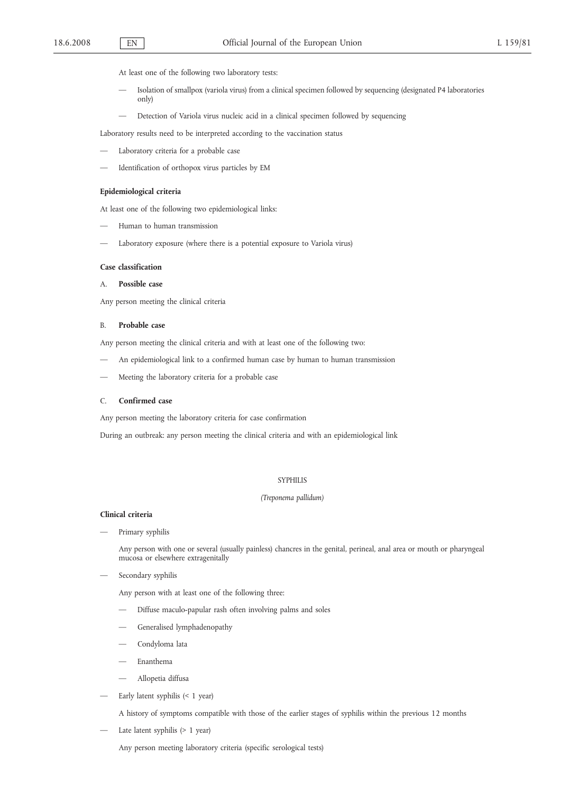- At least one of the following two laboratory tests:
- Isolation of smallpox (variola virus) from a clinical specimen followed by sequencing (designated P4 laboratories only)
- Detection of Variola virus nucleic acid in a clinical specimen followed by sequencing

Laboratory results need to be interpreted according to the vaccination status

- Laboratory criteria for a probable case
- Identification of orthopox virus particles by EM

#### **Epidemiological criteria**

At least one of the following two epidemiological links:

- Human to human transmission
- Laboratory exposure (where there is a potential exposure to Variola virus)

### **Case classification**

## A. **Possible case**

Any person meeting the clinical criteria

## B. **Probable case**

Any person meeting the clinical criteria and with at least one of the following two:

- An epidemiological link to a confirmed human case by human to human transmission
- Meeting the laboratory criteria for a probable case

## C. **Confirmed case**

Any person meeting the laboratory criteria for case confirmation

During an outbreak: any person meeting the clinical criteria and with an epidemiological link

#### SYPHILIS

#### *(Treponema pallidum)*

#### **Clinical criteria**

Primary syphilis

Any person with one or several (usually painless) chancres in the genital, perineal, anal area or mouth or pharyngeal mucosa or elsewhere extragenitally

Secondary syphilis

Any person with at least one of the following three:

- Diffuse maculo-papular rash often involving palms and soles
- Generalised lymphadenopathy
- Condyloma lata
- Enanthema
- Allopetia diffusa
- Early latent syphilis (< 1 year)

A history of symptoms compatible with those of the earlier stages of syphilis within the previous 12 months

Late latent syphilis (> 1 year)

Any person meeting laboratory criteria (specific serological tests)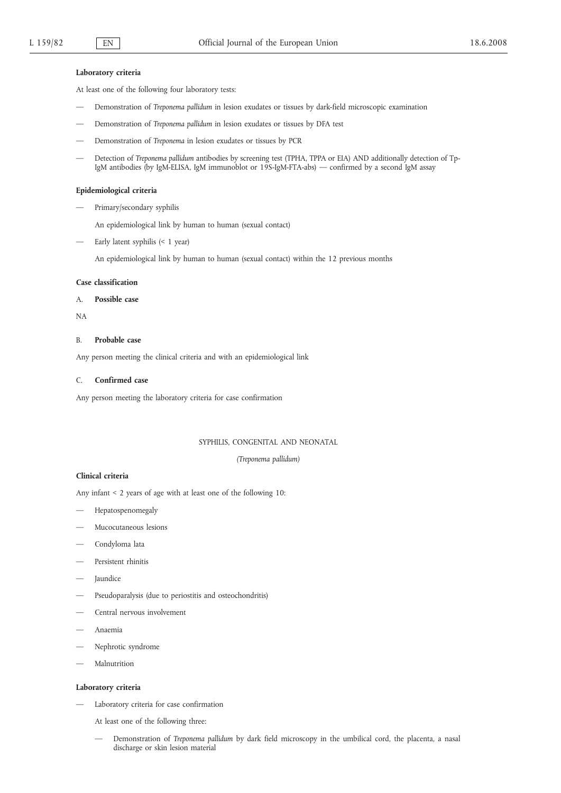#### **Laboratory criteria**

At least one of the following four laboratory tests:

- Demonstration of *Treponema pallidum* in lesion exudates or tissues by dark-field microscopic examination
- Demonstration of *Treponema pallidum* in lesion exudates or tissues by DFA test
- Demonstration of *Treponema* in lesion exudates or tissues by PCR
- Detection of *Treponema pallidum* antibodies by screening test (TPHA, TPPA or EIA) AND additionally detection of Tp-IgM antibodies (by IgM-ELISA, IgM immunoblot or 19S-IgM-FTA-abs) — confirmed by a second IgM assay

### **Epidemiological criteria**

Primary/secondary syphilis

An epidemiological link by human to human (sexual contact)

— Early latent syphilis (< 1 year)

An epidemiological link by human to human (sexual contact) within the 12 previous months

#### **Case classification**

#### A. **Possible case**

NA

#### B. **Probable case**

Any person meeting the clinical criteria and with an epidemiological link

#### C. **Confirmed case**

Any person meeting the laboratory criteria for case confirmation

#### SYPHILIS, CONGENITAL AND NEONATAL

*(Treponema pallidum)*

## **Clinical criteria**

Any infant < 2 years of age with at least one of the following 10:

- Hepatospenomegaly
- Mucocutaneous lesions
- Condyloma lata
- Persistent rhinitis
- **Jaundice**
- Pseudoparalysis (due to periostitis and osteochondritis)
- Central nervous involvement
- Anaemia
- Nephrotic syndrome
- Malnutrition

#### **Laboratory criteria**

- Laboratory criteria for case confirmation
	- At least one of the following three:
	- Demonstration of *Treponema pallidum* by dark field microscopy in the umbilical cord, the placenta, a nasal discharge or skin lesion material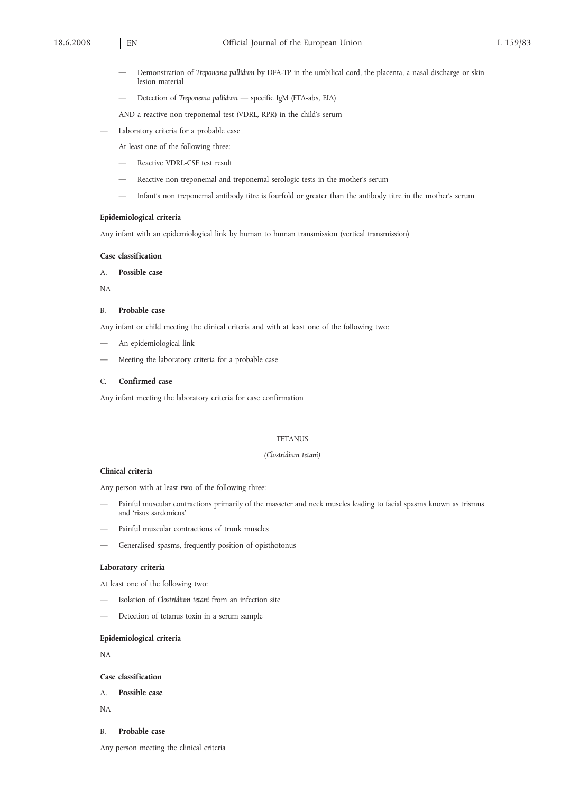- Demonstration of *Treponema pallidum* by DFA-TP in the umbilical cord, the placenta, a nasal discharge or skin lesion material
- Detection of *Treponema pallidum* specific IgM (FTA-abs, EIA)

AND a reactive non treponemal test (VDRL, RPR) in the child's serum

- Laboratory criteria for a probable case
	- At least one of the following three:
	- Reactive VDRL-CSF test result
	- Reactive non treponemal and treponemal serologic tests in the mother's serum
	- Infant's non treponemal antibody titre is fourfold or greater than the antibody titre in the mother's serum

### **Epidemiological criteria**

Any infant with an epidemiological link by human to human transmission (vertical transmission)

### **Case classification**

# A. **Possible case**

NA

#### B. **Probable case**

Any infant or child meeting the clinical criteria and with at least one of the following two:

- An epidemiological link
- Meeting the laboratory criteria for a probable case

### C. **Confirmed case**

Any infant meeting the laboratory criteria for case confirmation

## **TETANUS**

#### *(Clostridium tetani)*

# **Clinical criteria**

Any person with at least two of the following three:

- Painful muscular contractions primarily of the masseter and neck muscles leading to facial spasms known as trismus and 'risus sardonicus'
- Painful muscular contractions of trunk muscles
- Generalised spasms, frequently position of opisthotonus

#### **Laboratory criteria**

At least one of the following two:

- Isolation of *Clostridium tetani* from an infection site
- Detection of tetanus toxin in a serum sample

### **Epidemiological criteria**

NA

## **Case classification**

- A. **Possible case**
- NA
- B. **Probable case**

Any person meeting the clinical criteria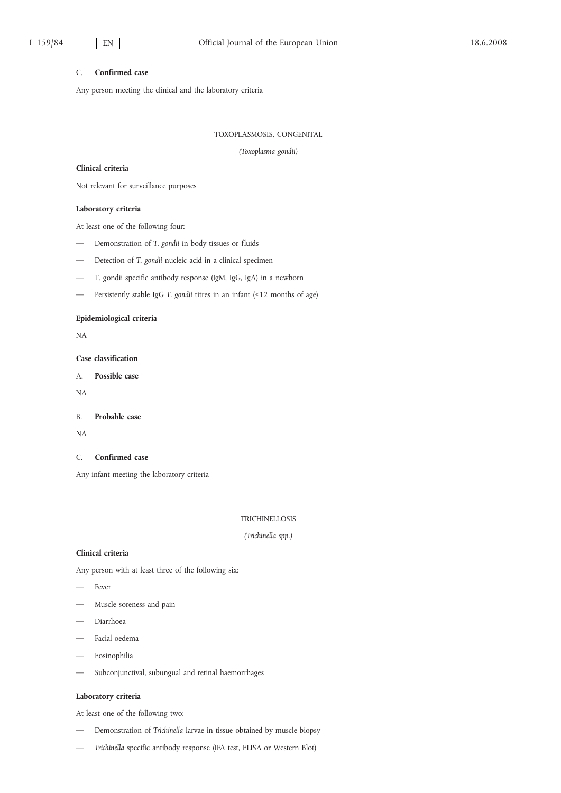## C. **Confirmed case**

Any person meeting the clinical and the laboratory criteria

TOXOPLASMOSIS, CONGENITAL

*(Toxoplasma gondii)*

### **Clinical criteria**

Not relevant for surveillance purposes

## **Laboratory criteria**

At least one of the following four:

- Demonstration of *T. gondii* in body tissues or fluids
- Detection of *T. gondii* nucleic acid in a clinical specimen
- T. gondii specific antibody response (IgM, IgG, IgA) in a newborn
- Persistently stable IgG T. gondii titres in an infant (<12 months of age)

## **Epidemiological criteria**

NA

## **Case classification**

A. **Possible case**

NA

B. **Probable case**

NA

### C. **Confirmed case**

Any infant meeting the laboratory criteria

### TRICHINELLOSIS

*(Trichinella spp.)*

## **Clinical criteria**

Any person with at least three of the following six:

- Fever
- Muscle soreness and pain
- Diarrhoea
- Facial oedema
- Eosinophilia
- Subconjunctival, subungual and retinal haemorrhages

## **Laboratory criteria**

At least one of the following two:

- Demonstration of *Trichinella* larvae in tissue obtained by muscle biopsy
- *Trichinella* specific antibody response (IFA test, ELISA or Western Blot)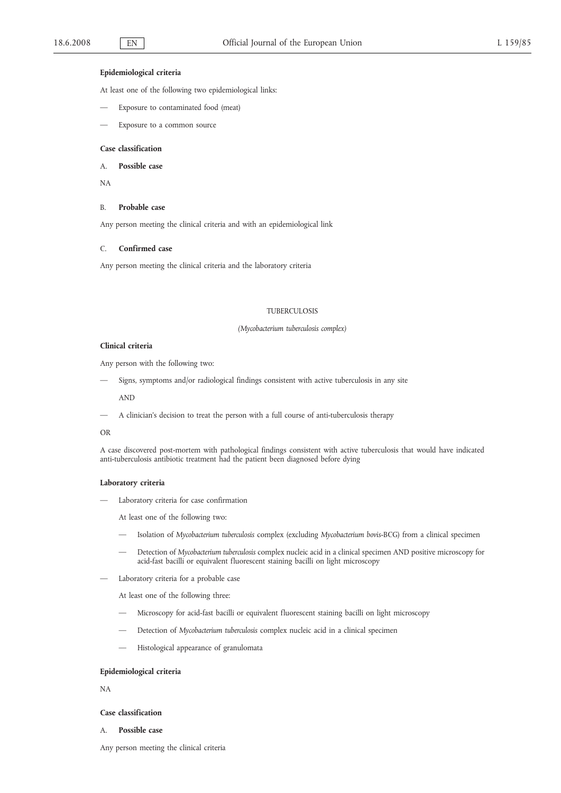#### **Epidemiological criteria**

At least one of the following two epidemiological links:

- Exposure to contaminated food (meat)
- Exposure to a common source

### **Case classification**

A. **Possible case**

NA

#### B. **Probable case**

Any person meeting the clinical criteria and with an epidemiological link

#### C. **Confirmed case**

Any person meeting the clinical criteria and the laboratory criteria

#### TUBERCULOSIS

#### *(Mycobacterium tuberculosis complex)*

### **Clinical criteria**

Any person with the following two:

Signs, symptoms and/or radiological findings consistent with active tuberculosis in any site

AND

— A clinician's decision to treat the person with a full course of anti-tuberculosis therapy

## OR

A case discovered post-mortem with pathological findings consistent with active tuberculosis that would have indicated anti-tuberculosis antibiotic treatment had the patient been diagnosed before dying

#### **Laboratory criteria**

— Laboratory criteria for case confirmation

At least one of the following two:

- Isolation of *Mycobacterium tuberculosis* complex (excluding *Mycobacterium bovis*-BCG) from a clinical specimen
- Detection of *Mycobacterium tuberculosis* complex nucleic acid in a clinical specimen AND positive microscopy for acid-fast bacilli or equivalent fluorescent staining bacilli on light microscopy
- Laboratory criteria for a probable case

At least one of the following three:

- Microscopy for acid-fast bacilli or equivalent fluorescent staining bacilli on light microscopy
- Detection of *Mycobacterium tuberculosis* complex nucleic acid in a clinical specimen
- Histological appearance of granulomata

#### **Epidemiological criteria**

NA

#### **Case classification**

A. **Possible case**

Any person meeting the clinical criteria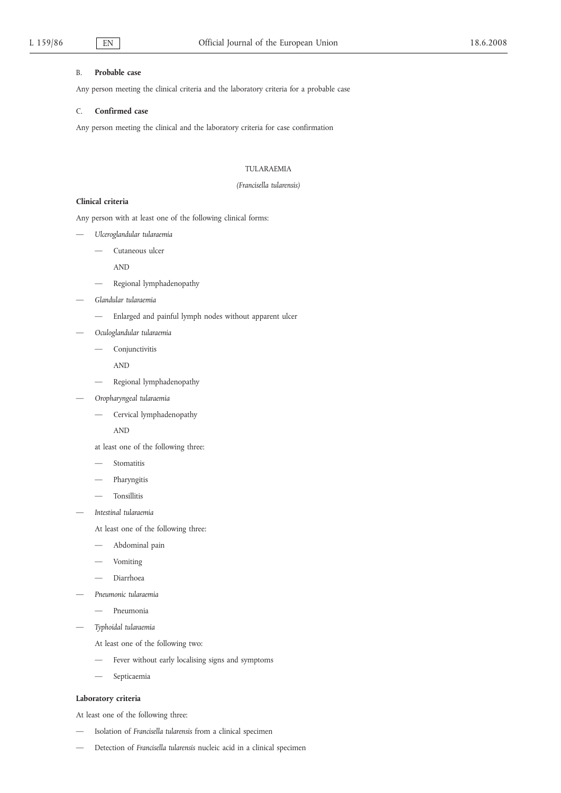## B. **Probable case**

Any person meeting the clinical criteria and the laboratory criteria for a probable case

## C. **Confirmed case**

Any person meeting the clinical and the laboratory criteria for case confirmation

## TULARAEMIA

### *(Francisella tularensis)*

# **Clinical criteria**

Any person with at least one of the following clinical forms:

- *Ulceroglandular tularaemia*
	- Cutaneous ulcer

AND

- Regional lymphadenopathy
- *Glandular tularaemia*
	- Enlarged and painful lymph nodes without apparent ulcer
- *Oculoglandular tularaemia*
	- Conjunctivitis

AND

- Regional lymphadenopathy
- *Oropharyngeal tularaemia*
	- Cervical lymphadenopathy

AND

- at least one of the following three:
- **Stomatitis**
- Pharyngitis
- Tonsillitis
- *Intestinal tularaemia*

At least one of the following three:

- Abdominal pain
- Vomiting
- Diarrhoea
- *Pneumonic tularaemia*
	- Pneumonia
- *Typhoidal tularaemia*
	- At least one of the following two:
	- Fever without early localising signs and symptoms
	- Septicaemia

## **Laboratory criteria**

At least one of the following three:

- Isolation of *Francisella tularensis* from a clinical specimen
- Detection of *Francisella tularensis* nucleic acid in a clinical specimen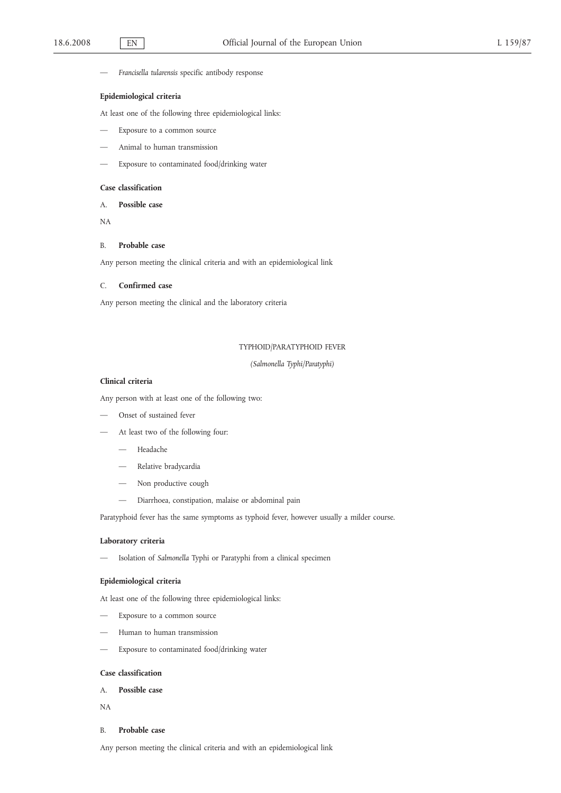— *Francisella tularensis* specific antibody response

## **Epidemiological criteria**

At least one of the following three epidemiological links:

- Exposure to a common source
- Animal to human transmission
- Exposure to contaminated food/drinking water

### **Case classification**

A. **Possible case**

NA

### B. **Probable case**

Any person meeting the clinical criteria and with an epidemiological link

# C. **Confirmed case**

Any person meeting the clinical and the laboratory criteria

# TYPHOID/PARATYPHOID FEVER

*(Salmonella Typhi/Paratyphi)*

## **Clinical criteria**

Any person with at least one of the following two:

- Onset of sustained fever
- At least two of the following four:
	- Headache
	- Relative bradycardia
	- Non productive cough
	- Diarrhoea, constipation, malaise or abdominal pain

Paratyphoid fever has the same symptoms as typhoid fever, however usually a milder course.

## **Laboratory criteria**

— Isolation of *Salmonella* Typhi or Paratyphi from a clinical specimen

## **Epidemiological criteria**

At least one of the following three epidemiological links:

- Exposure to a common source
- Human to human transmission
- Exposure to contaminated food/drinking water

## **Case classification**

A. **Possible case**

NA

### B. **Probable case**

Any person meeting the clinical criteria and with an epidemiological link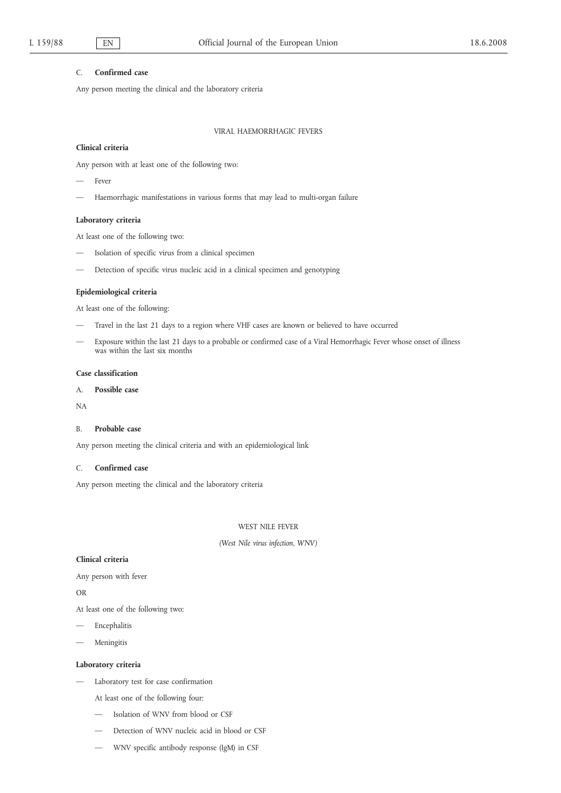## C. **Confirmed case**

Any person meeting the clinical and the laboratory criteria

## VIRAL HAEMORRHAGIC FEVERS

#### **Clinical criteria**

Any person with at least one of the following two:

- Fever
- Haemorrhagic manifestations in various forms that may lead to multi-organ failure

## **Laboratory criteria**

At least one of the following two:

- Isolation of specific virus from a clinical specimen
- Detection of specific virus nucleic acid in a clinical specimen and genotyping

## **Epidemiological criteria**

At least one of the following:

- Travel in the last 21 days to a region where VHF cases are known or believed to have occurred
- Exposure within the last 21 days to a probable or confirmed case of a Viral Hemorrhagic Fever whose onset of illness was within the last six months

## **Case classification**

# A. **Possible case**

NA

## B. **Probable case**

Any person meeting the clinical criteria and with an epidemiological link

## C. **Confirmed case**

Any person meeting the clinical and the laboratory criteria

## WEST NILE FEVER

## *(West Nile virus infection, WNV)*

### **Clinical criteria**

Any person with fever

OR

- At least one of the following two:
- **Encephalitis**
- Meningitis

## **Laboratory criteria**

- Laboratory test for case confirmation
	- At least one of the following four:
	- Isolation of WNV from blood or CSF
	- Detection of WNV nucleic acid in blood or CSF
	- WNV specific antibody response (IgM) in CSF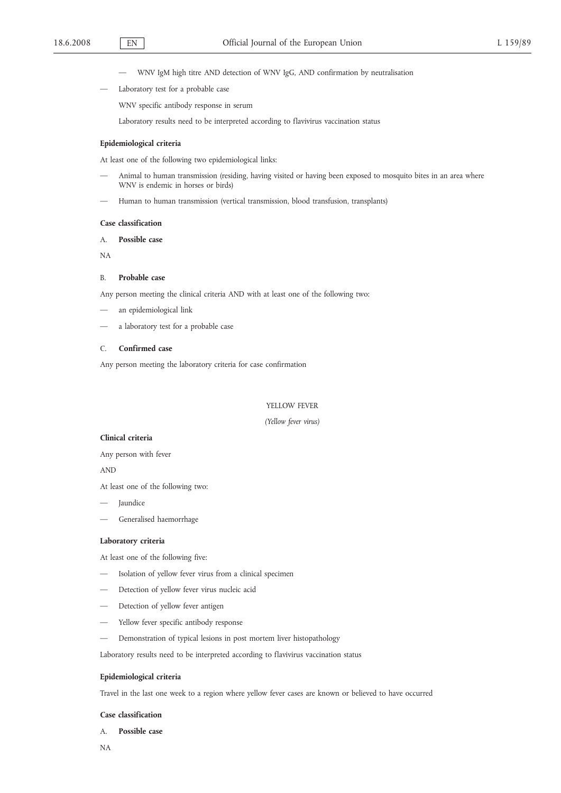- WNV IgM high titre AND detection of WNV IgG, AND confirmation by neutralisation
- Laboratory test for a probable case

WNV specific antibody response in serum

Laboratory results need to be interpreted according to flavivirus vaccination status

### **Epidemiological criteria**

At least one of the following two epidemiological links:

- Animal to human transmission (residing, having visited or having been exposed to mosquito bites in an area where WNV is endemic in horses or birds)
- Human to human transmission (vertical transmission, blood transfusion, transplants)

### **Case classification**

A. **Possible case**

NA

### B. **Probable case**

Any person meeting the clinical criteria AND with at least one of the following two:

- an epidemiological link
- a laboratory test for a probable case

## C. **Confirmed case**

Any person meeting the laboratory criteria for case confirmation

#### YELLOW FEVER

#### *(Yellow fever virus)*

## **Clinical criteria**

Any person with fever

AND

At least one of the following two:

- **Jaundice**
- Generalised haemorrhage

# **Laboratory criteria**

At least one of the following five:

- Isolation of yellow fever virus from a clinical specimen
- Detection of yellow fever virus nucleic acid
- Detection of yellow fever antigen
- Yellow fever specific antibody response
- Demonstration of typical lesions in post mortem liver histopathology

Laboratory results need to be interpreted according to flavivirus vaccination status

## **Epidemiological criteria**

Travel in the last one week to a region where yellow fever cases are known or believed to have occurred

### **Case classification**

A. **Possible case**